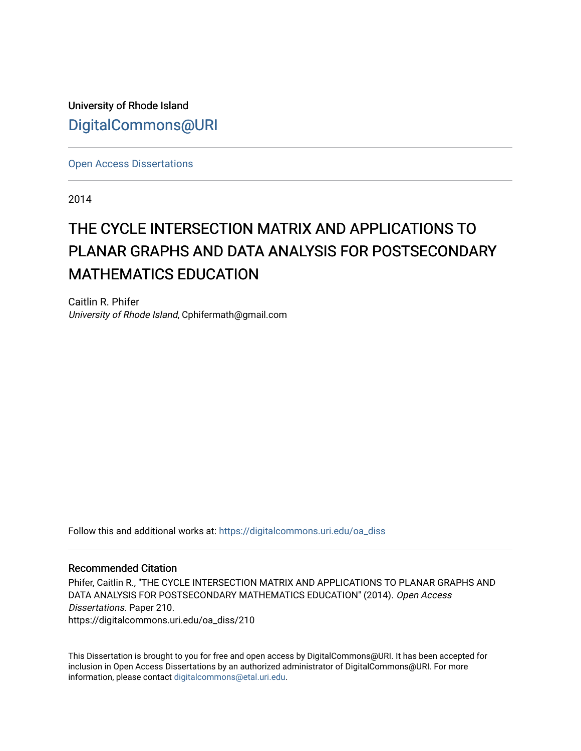University of Rhode Island [DigitalCommons@URI](https://digitalcommons.uri.edu/) 

[Open Access Dissertations](https://digitalcommons.uri.edu/oa_diss) 

2014

# THE CYCLE INTERSECTION MATRIX AND APPLICATIONS TO PLANAR GRAPHS AND DATA ANALYSIS FOR POSTSECONDARY **MATHEMATICS EDUCATION**

Caitlin R. Phifer University of Rhode Island, Cphifermath@gmail.com

Follow this and additional works at: [https://digitalcommons.uri.edu/oa\\_diss](https://digitalcommons.uri.edu/oa_diss?utm_source=digitalcommons.uri.edu%2Foa_diss%2F210&utm_medium=PDF&utm_campaign=PDFCoverPages) 

#### Recommended Citation

Phifer, Caitlin R., "THE CYCLE INTERSECTION MATRIX AND APPLICATIONS TO PLANAR GRAPHS AND DATA ANALYSIS FOR POSTSECONDARY MATHEMATICS EDUCATION" (2014). Open Access Dissertations. Paper 210. https://digitalcommons.uri.edu/oa\_diss/210

This Dissertation is brought to you for free and open access by DigitalCommons@URI. It has been accepted for inclusion in Open Access Dissertations by an authorized administrator of DigitalCommons@URI. For more information, please contact [digitalcommons@etal.uri.edu.](mailto:digitalcommons@etal.uri.edu)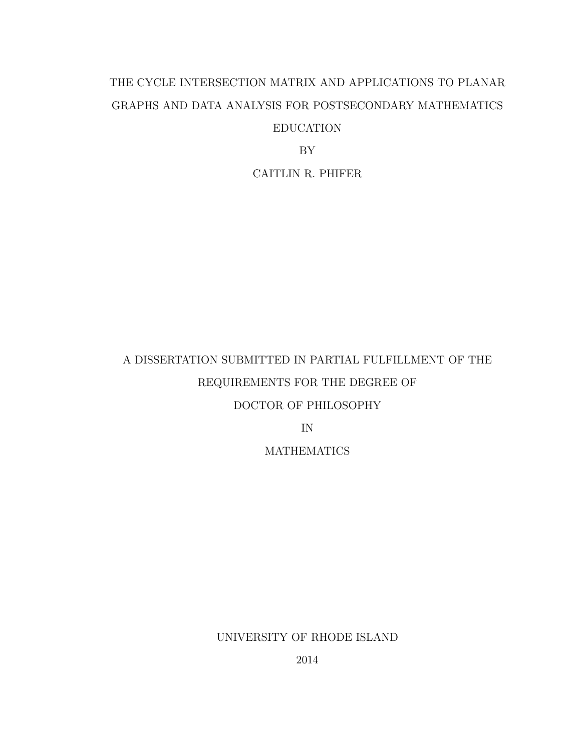# THE CYCLE INTERSECTION MATRIX AND APPLICATIONS TO PLANAR GRAPHS AND DATA ANALYSIS FOR POSTSECONDARY MATHEMATICS EDUCATION

BY

CAITLIN R. PHIFER

# A DISSERTATION SUBMITTED IN PARTIAL FULFILLMENT OF THE REQUIREMENTS FOR THE DEGREE OF DOCTOR OF PHILOSOPHY IN

**MATHEMATICS** 

UNIVERSITY OF RHODE ISLAND

2014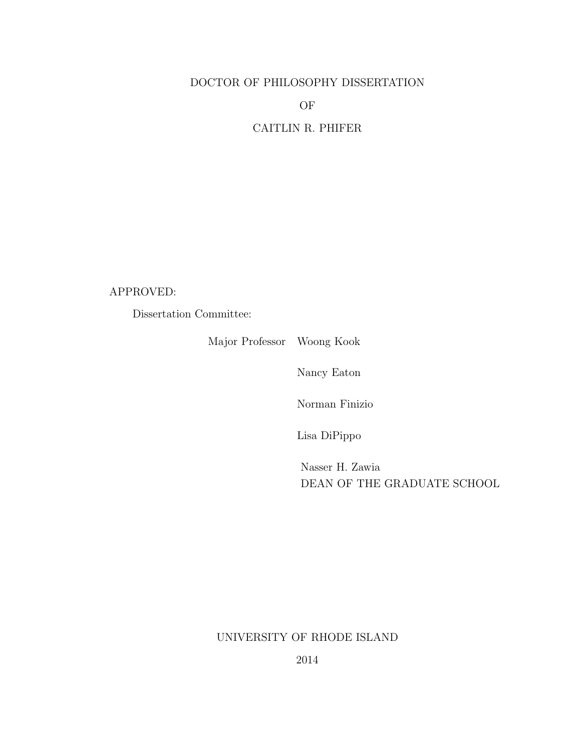### DOCTOR OF PHILOSOPHY DISSERTATION

OF

CAITLIN R. PHIFER

APPROVED:

Dissertation Committee:

Major Professor Woong Kook

Nancy Eaton

Norman Finizio

Lisa DiPippo

Nasser H. Zawia DEAN OF THE GRADUATE SCHOOL

### UNIVERSITY OF RHODE ISLAND

2014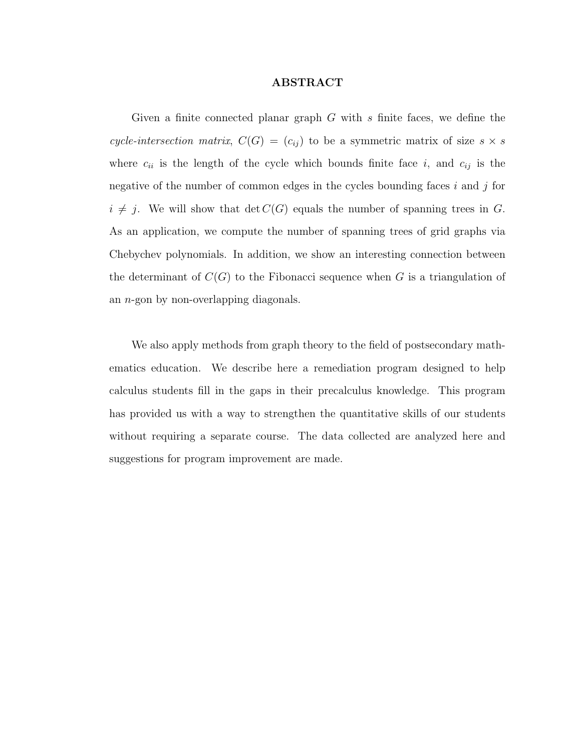#### ABSTRACT

<span id="page-3-0"></span>Given a finite connected planar graph  $G$  with  $s$  finite faces, we define the cycle-intersection matrix,  $C(G) = (c_{ij})$  to be a symmetric matrix of size  $s \times s$ where  $c_{ii}$  is the length of the cycle which bounds finite face i, and  $c_{ij}$  is the negative of the number of common edges in the cycles bounding faces  $i$  and  $j$  for  $i \neq j$ . We will show that  $\det C(G)$  equals the number of spanning trees in G. As an application, we compute the number of spanning trees of grid graphs via Chebychev polynomials. In addition, we show an interesting connection between the determinant of  $C(G)$  to the Fibonacci sequence when G is a triangulation of an n-gon by non-overlapping diagonals.

We also apply methods from graph theory to the field of postsecondary mathematics education. We describe here a remediation program designed to help calculus students fill in the gaps in their precalculus knowledge. This program has provided us with a way to strengthen the quantitative skills of our students without requiring a separate course. The data collected are analyzed here and suggestions for program improvement are made.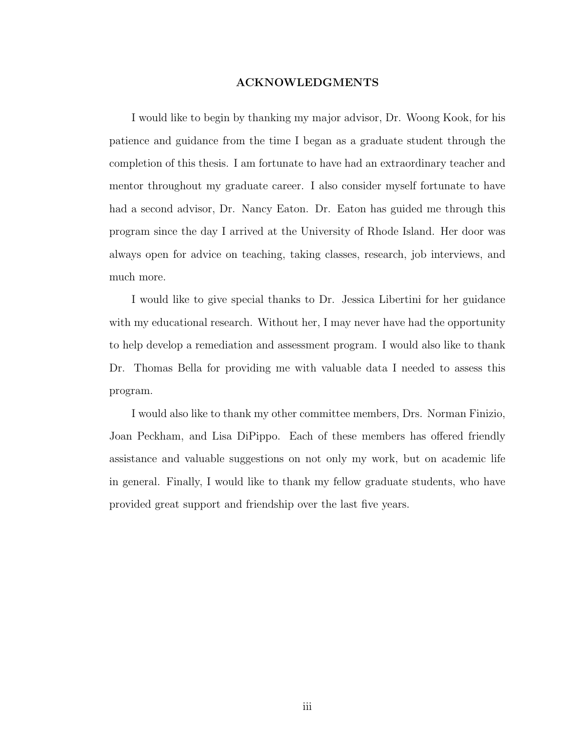#### ACKNOWLEDGMENTS

<span id="page-4-0"></span>I would like to begin by thanking my major advisor, Dr. Woong Kook, for his patience and guidance from the time I began as a graduate student through the completion of this thesis. I am fortunate to have had an extraordinary teacher and mentor throughout my graduate career. I also consider myself fortunate to have had a second advisor, Dr. Nancy Eaton. Dr. Eaton has guided me through this program since the day I arrived at the University of Rhode Island. Her door was always open for advice on teaching, taking classes, research, job interviews, and much more.

I would like to give special thanks to Dr. Jessica Libertini for her guidance with my educational research. Without her, I may never have had the opportunity to help develop a remediation and assessment program. I would also like to thank Dr. Thomas Bella for providing me with valuable data I needed to assess this program.

I would also like to thank my other committee members, Drs. Norman Finizio, Joan Peckham, and Lisa DiPippo. Each of these members has offered friendly assistance and valuable suggestions on not only my work, but on academic life in general. Finally, I would like to thank my fellow graduate students, who have provided great support and friendship over the last five years.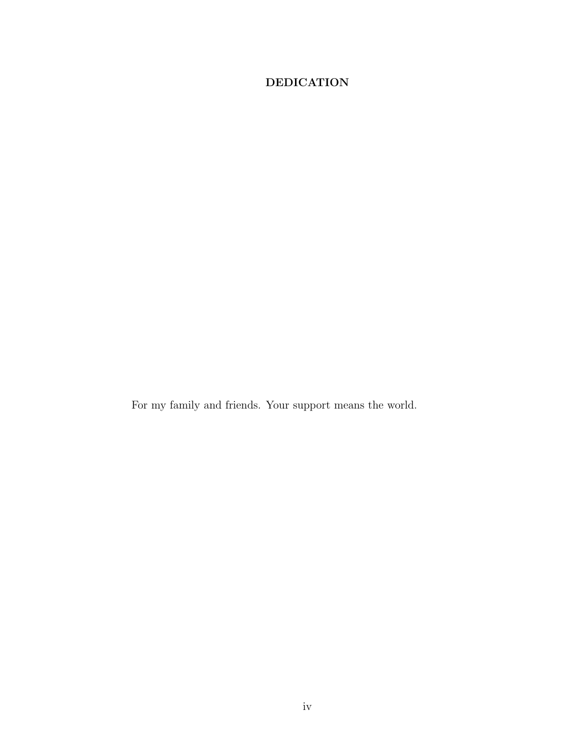## <span id="page-5-0"></span>DEDICATION

For my family and friends. Your support means the world.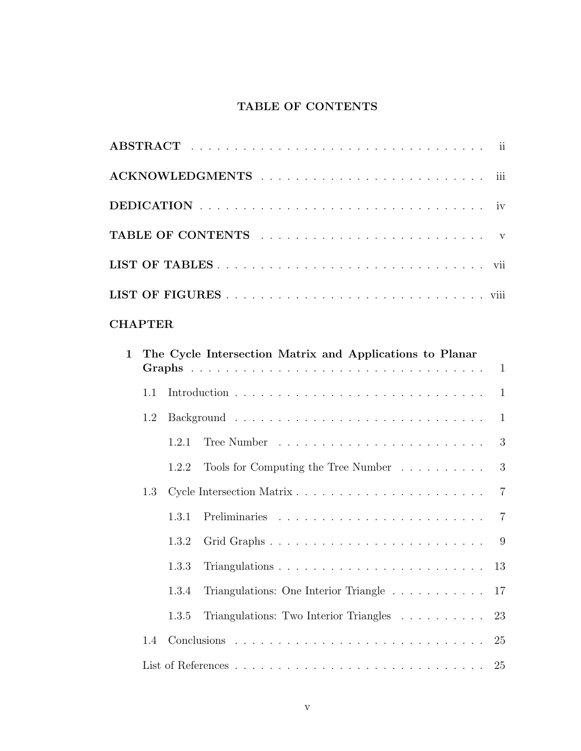## TABLE OF CONTENTS

<span id="page-6-0"></span>

| <b>CHAPTER</b>                                             |  |
|------------------------------------------------------------|--|
| 1 The Cycle Intersection Matrix and Applications to Planar |  |

| $1.1 -$ |       |                                                                        |                |
|---------|-------|------------------------------------------------------------------------|----------------|
| 1.2     |       | -1                                                                     |                |
|         | 1.2.1 |                                                                        | 3              |
|         | 1.2.2 | Tools for Computing the Tree Number                                    | 3              |
| 1.3     |       |                                                                        | $\overline{7}$ |
|         |       |                                                                        |                |
|         | 1.3.2 |                                                                        |                |
|         | 1.3.3 |                                                                        |                |
|         | 1.3.4 | Triangulations: One Interior Triangle $\ldots \ldots \ldots \ldots 17$ |                |
|         | 1.3.5 | Triangulations: Two Interior Triangles 23                              |                |
| 1.4     |       |                                                                        |                |
|         |       |                                                                        |                |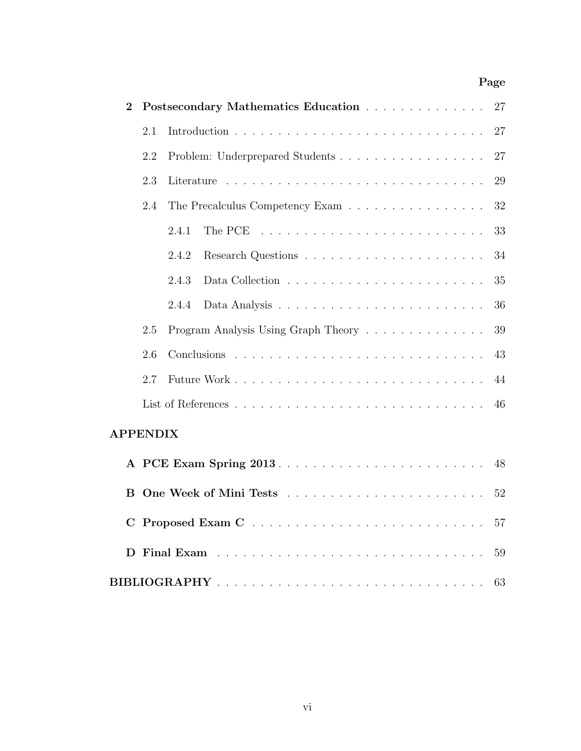## Page

| $\overline{2}$  |     | Postsecondary Mathematics Education                                                                                                                                                                                            | 27 |
|-----------------|-----|--------------------------------------------------------------------------------------------------------------------------------------------------------------------------------------------------------------------------------|----|
|                 | 2.1 |                                                                                                                                                                                                                                | 27 |
|                 | 2.2 | Problem: Underprepared Students                                                                                                                                                                                                | 27 |
|                 | 2.3 |                                                                                                                                                                                                                                | 29 |
|                 | 2.4 | The Precalculus Competency Exam                                                                                                                                                                                                | 32 |
|                 |     | 2.4.1<br>The PCE $\ldots \ldots \ldots \ldots \ldots \ldots \ldots \ldots \ldots$                                                                                                                                              | 33 |
|                 |     | 2.4.2                                                                                                                                                                                                                          | 34 |
|                 |     | 2.4.3                                                                                                                                                                                                                          | 35 |
|                 |     | 2.4.4                                                                                                                                                                                                                          | 36 |
|                 | 2.5 | Program Analysis Using Graph Theory                                                                                                                                                                                            | 39 |
|                 | 2.6 |                                                                                                                                                                                                                                | 43 |
|                 | 2.7 |                                                                                                                                                                                                                                | 44 |
|                 |     |                                                                                                                                                                                                                                | 46 |
| <b>APPENDIX</b> |     |                                                                                                                                                                                                                                |    |
|                 |     |                                                                                                                                                                                                                                | 48 |
| В               |     |                                                                                                                                                                                                                                | 52 |
| $\mathbf C$     |     |                                                                                                                                                                                                                                | 57 |
| D               |     | Final Exam research and the service of the service of the service of the service of the service of the service of the service of the service of the service of the service of the service of the service of the service of the | 59 |
|                 |     |                                                                                                                                                                                                                                | 63 |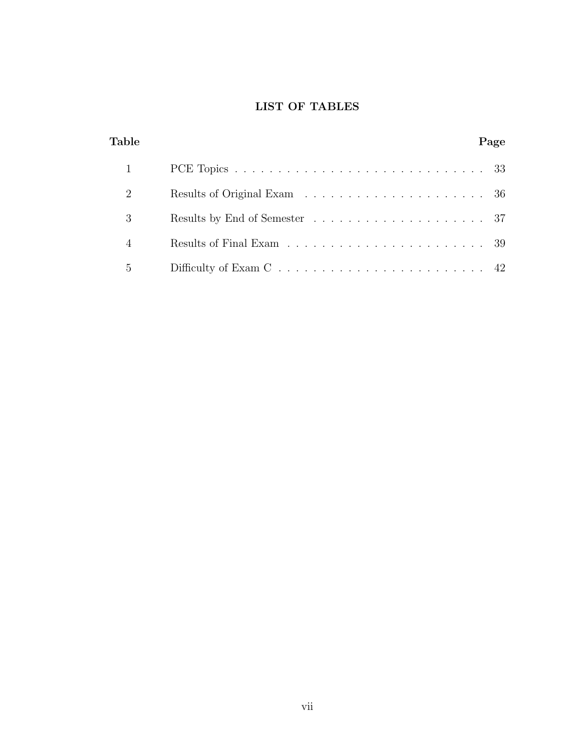## LIST OF TABLES

<span id="page-8-0"></span>

| Table          | Page |  |
|----------------|------|--|
|                |      |  |
| 2              |      |  |
| 3              |      |  |
| $\overline{4}$ |      |  |
| $\overline{5}$ |      |  |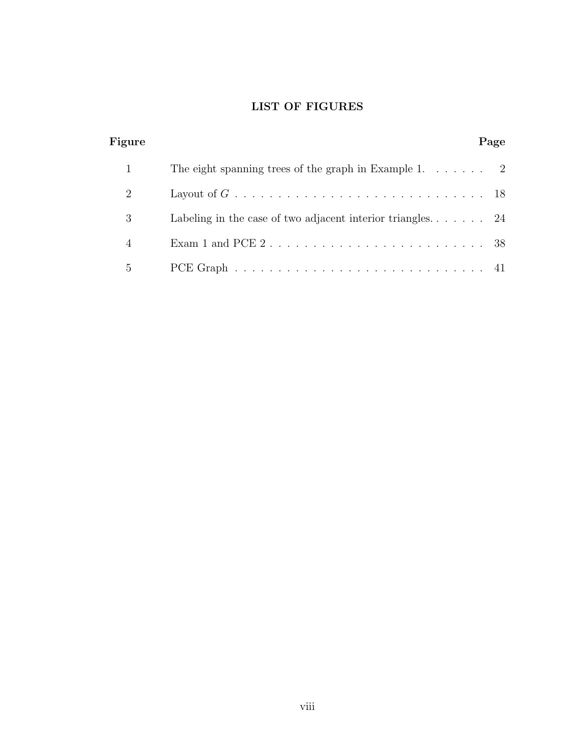## LIST OF FIGURES

<span id="page-9-0"></span>

| Figure         |                                                                                             | Page |
|----------------|---------------------------------------------------------------------------------------------|------|
|                | The eight spanning trees of the graph in Example 1. $\dots$ 2                               |      |
| 2              |                                                                                             |      |
| 3              | Labeling in the case of two adjacent interior triangles $24$                                |      |
| $\overline{4}$ | Exam 1 and PCE $2 \ldots \ldots \ldots \ldots \ldots \ldots \ldots \ldots \ldots 38$        |      |
| 5              | PCE Graph $\ldots \ldots \ldots \ldots \ldots \ldots \ldots \ldots \ldots \ldots \ldots$ 41 |      |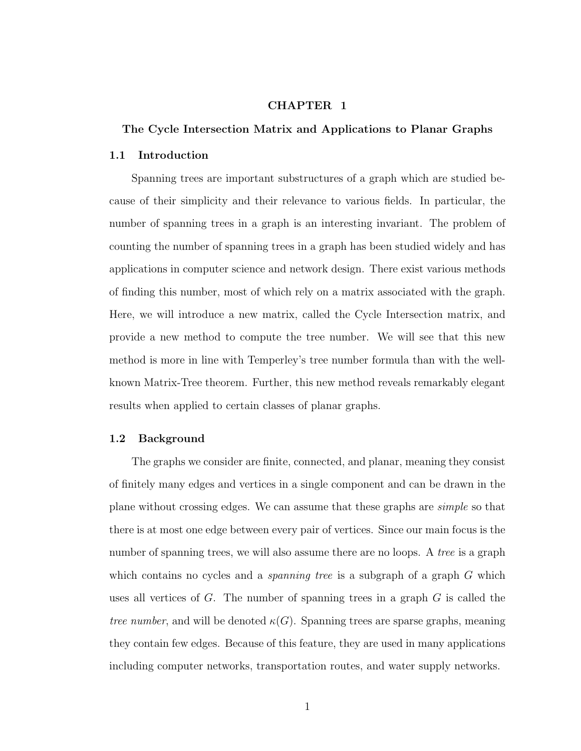#### CHAPTER 1

#### <span id="page-10-0"></span>The Cycle Intersection Matrix and Applications to Planar Graphs

#### <span id="page-10-1"></span>1.1 Introduction

Spanning trees are important substructures of a graph which are studied because of their simplicity and their relevance to various fields. In particular, the number of spanning trees in a graph is an interesting invariant. The problem of counting the number of spanning trees in a graph has been studied widely and has applications in computer science and network design. There exist various methods of finding this number, most of which rely on a matrix associated with the graph. Here, we will introduce a new matrix, called the Cycle Intersection matrix, and provide a new method to compute the tree number. We will see that this new method is more in line with Temperley's tree number formula than with the wellknown Matrix-Tree theorem. Further, this new method reveals remarkably elegant results when applied to certain classes of planar graphs.

#### <span id="page-10-2"></span>1.2 Background

The graphs we consider are finite, connected, and planar, meaning they consist of finitely many edges and vertices in a single component and can be drawn in the plane without crossing edges. We can assume that these graphs are simple so that there is at most one edge between every pair of vertices. Since our main focus is the number of spanning trees, we will also assume there are no loops. A *tree* is a graph which contains no cycles and a *spanning tree* is a subgraph of a graph  $G$  which uses all vertices of  $G$ . The number of spanning trees in a graph  $G$  is called the tree number, and will be denoted  $\kappa(G)$ . Spanning trees are sparse graphs, meaning they contain few edges. Because of this feature, they are used in many applications including computer networks, transportation routes, and water supply networks.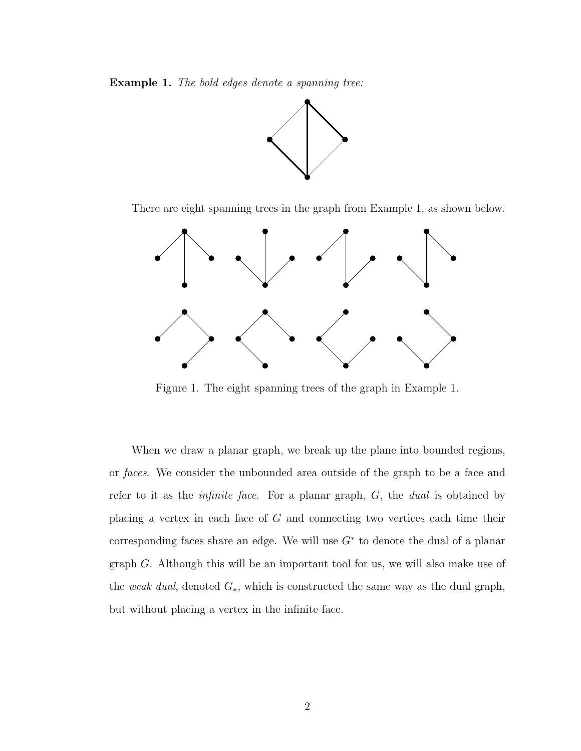<span id="page-11-1"></span>Example 1. The bold edges denote a spanning tree:



There are eight spanning trees in the graph from Example [1,](#page-11-1) as shown below.



<span id="page-11-0"></span>Figure 1. The eight spanning trees of the graph in Example 1.

When we draw a planar graph, we break up the plane into bounded regions, or faces. We consider the unbounded area outside of the graph to be a face and refer to it as the infinite face. For a planar graph, G, the dual is obtained by placing a vertex in each face of G and connecting two vertices each time their corresponding faces share an edge. We will use  $G^*$  to denote the dual of a planar graph G. Although this will be an important tool for us, we will also make use of the weak dual, denoted  $G_*$ , which is constructed the same way as the dual graph, but without placing a vertex in the infinite face.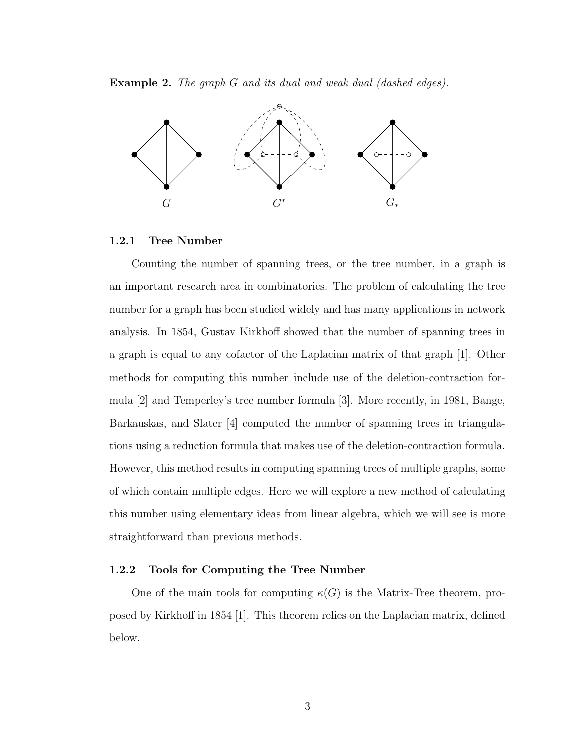Example 2. The graph G and its dual and weak dual (dashed edges).



#### <span id="page-12-0"></span>1.2.1 Tree Number

Counting the number of spanning trees, or the tree number, in a graph is an important research area in combinatorics. The problem of calculating the tree number for a graph has been studied widely and has many applications in network analysis. In 1854, Gustav Kirkhoff showed that the number of spanning trees in a graph is equal to any cofactor of the Laplacian matrix of that graph [\[1\]](#page-34-2). Other methods for computing this number include use of the deletion-contraction formula [\[2\]](#page-34-3) and Temperley's tree number formula [\[3\]](#page-35-0). More recently, in 1981, Bange, Barkauskas, and Slater [\[4\]](#page-35-1) computed the number of spanning trees in triangulations using a reduction formula that makes use of the deletion-contraction formula. However, this method results in computing spanning trees of multiple graphs, some of which contain multiple edges. Here we will explore a new method of calculating this number using elementary ideas from linear algebra, which we will see is more straightforward than previous methods.

#### <span id="page-12-1"></span>1.2.2 Tools for Computing the Tree Number

One of the main tools for computing  $\kappa(G)$  is the Matrix-Tree theorem, proposed by Kirkhoff in 1854 [\[1\]](#page-34-2). This theorem relies on the Laplacian matrix, defined below.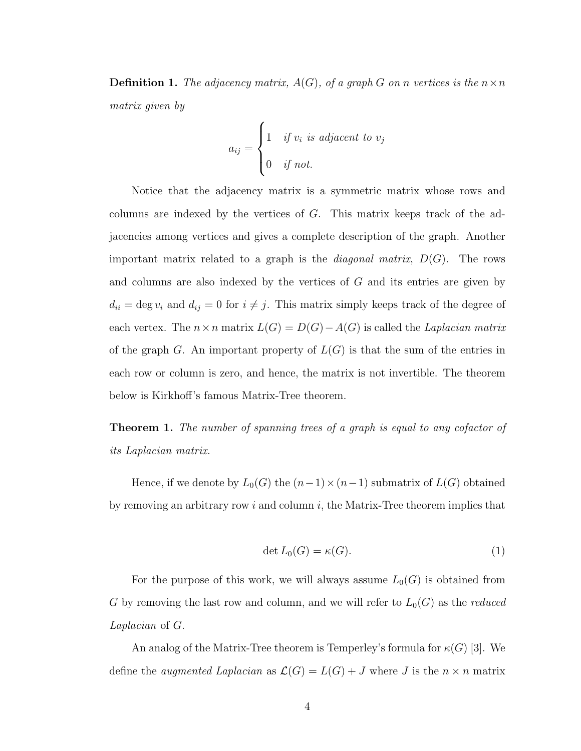**Definition 1.** The adjacency matrix,  $A(G)$ , of a graph G on n vertices is the  $n \times n$ matrix given by

$$
a_{ij} = \begin{cases} 1 & \text{if } v_i \text{ is adjacent to } v_j \\ 0 & \text{if not.} \end{cases}
$$

Notice that the adjacency matrix is a symmetric matrix whose rows and columns are indexed by the vertices of  $G$ . This matrix keeps track of the adjacencies among vertices and gives a complete description of the graph. Another important matrix related to a graph is the *diagonal matrix*,  $D(G)$ . The rows and columns are also indexed by the vertices of G and its entries are given by  $d_{ii} = \deg v_i$  and  $d_{ij} = 0$  for  $i \neq j$ . This matrix simply keeps track of the degree of each vertex. The  $n \times n$  matrix  $L(G) = D(G) - A(G)$  is called the *Laplacian matrix* of the graph G. An important property of  $L(G)$  is that the sum of the entries in each row or column is zero, and hence, the matrix is not invertible. The theorem below is Kirkhoff's famous Matrix-Tree theorem.

Theorem 1. The number of spanning trees of a graph is equal to any cofactor of its Laplacian matrix.

Hence, if we denote by  $L_0(G)$  the  $(n-1) \times (n-1)$  submatrix of  $L(G)$  obtained by removing an arbitrary row  $i$  and column  $i$ , the Matrix-Tree theorem implies that

$$
\det L_0(G) = \kappa(G). \tag{1}
$$

For the purpose of this work, we will always assume  $L_0(G)$  is obtained from G by removing the last row and column, and we will refer to  $L_0(G)$  as the *reduced* Laplacian of G.

An analog of the Matrix-Tree theorem is Temperley's formula for  $\kappa(G)$  [\[3\]](#page-35-0). We define the *augmented Laplacian* as  $\mathcal{L}(G) = L(G) + J$  where J is the  $n \times n$  matrix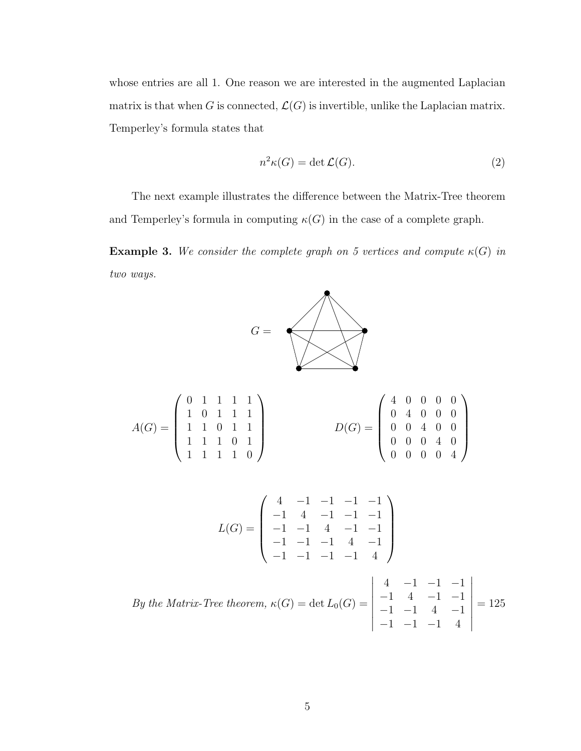whose entries are all 1. One reason we are interested in the augmented Laplacian matrix is that when G is connected,  $\mathcal{L}(G)$  is invertible, unlike the Laplacian matrix. Temperley's formula states that

$$
n^2\kappa(G) = \det \mathcal{L}(G). \tag{2}
$$

The next example illustrates the difference between the Matrix-Tree theorem and Temperley's formula in computing  $\kappa(G)$  in the case of a complete graph.

**Example 3.** We consider the complete graph on 5 vertices and compute  $\kappa(G)$  in two ways.



$$
A(G) = \begin{pmatrix} 0 & 1 & 1 & 1 & 1 \\ 1 & 0 & 1 & 1 & 1 \\ 1 & 1 & 0 & 1 & 1 \\ 1 & 1 & 1 & 0 & 1 \\ 1 & 1 & 1 & 1 & 0 \end{pmatrix} \qquad D(G) = \begin{pmatrix} 4 & 0 & 0 & 0 & 0 \\ 0 & 4 & 0 & 0 & 0 \\ 0 & 0 & 4 & 0 & 0 \\ 0 & 0 & 0 & 4 & 0 \\ 0 & 0 & 0 & 0 & 4 \end{pmatrix}
$$

$$
L(G) = \begin{pmatrix} 4 & -1 & -1 & -1 & -1 \\ -1 & 4 & -1 & -1 & -1 \\ -1 & -1 & 4 & -1 & -1 \\ -1 & -1 & -1 & 4 & -1 \\ -1 & -1 & -1 & -1 & 4 \end{pmatrix}
$$

By the Matrix-Tree theorem, 
$$
\kappa(G) = \det L_0(G) = \begin{vmatrix} 4 & -1 & -1 & -1 \\ -1 & 4 & -1 & -1 \\ -1 & -1 & 4 & -1 \\ -1 & -1 & -1 & 4 \end{vmatrix} = 125
$$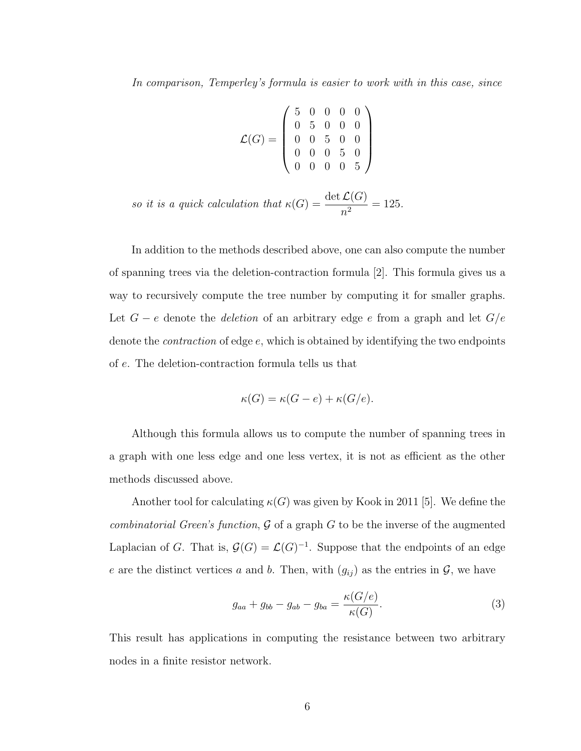In comparison, Temperley's formula is easier to work with in this case, since

$$
\mathcal{L}(G) = \left(\begin{array}{cccc} 5 & 0 & 0 & 0 & 0 \\ 0 & 5 & 0 & 0 & 0 \\ 0 & 0 & 5 & 0 & 0 \\ 0 & 0 & 0 & 5 & 0 \\ 0 & 0 & 0 & 0 & 5 \end{array}\right)
$$

so it is a quick calculation that  $\kappa(G) = \frac{\det \mathcal{L}(G)}{2}$  $\frac{\Sigma(0)}{n^2} = 125.$ 

In addition to the methods described above, one can also compute the number of spanning trees via the deletion-contraction formula [\[2\]](#page-34-3). This formula gives us a way to recursively compute the tree number by computing it for smaller graphs. Let  $G - e$  denote the *deletion* of an arbitrary edge  $e$  from a graph and let  $G/e$ denote the contraction of edge e, which is obtained by identifying the two endpoints of e. The deletion-contraction formula tells us that

$$
\kappa(G) = \kappa(G - e) + \kappa(G/e).
$$

Although this formula allows us to compute the number of spanning trees in a graph with one less edge and one less vertex, it is not as efficient as the other methods discussed above.

Another tool for calculating  $\kappa(G)$  was given by Kook in 2011 [\[5\]](#page-35-2). We define the *combinatorial Green's function, G* of a graph G to be the inverse of the augmented Laplacian of G. That is,  $\mathcal{G}(G) = \mathcal{L}(G)^{-1}$ . Suppose that the endpoints of an edge e are the distinct vertices a and b. Then, with  $(g_{ij})$  as the entries in  $\mathcal{G}$ , we have

$$
g_{aa} + g_{bb} - g_{ab} - g_{ba} = \frac{\kappa(G/e)}{\kappa(G)}.
$$
\n(3)

This result has applications in computing the resistance between two arbitrary nodes in a finite resistor network.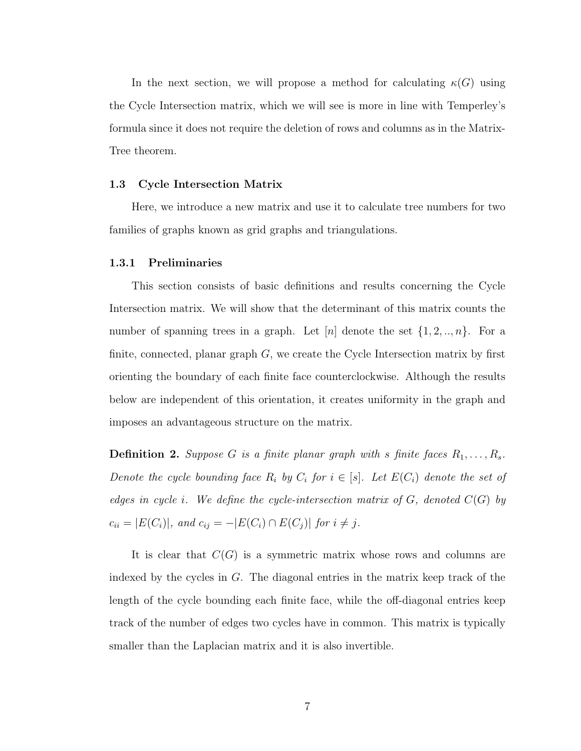In the next section, we will propose a method for calculating  $\kappa(G)$  using the Cycle Intersection matrix, which we will see is more in line with Temperley's formula since it does not require the deletion of rows and columns as in the Matrix-Tree theorem.

#### <span id="page-16-0"></span>1.3 Cycle Intersection Matrix

Here, we introduce a new matrix and use it to calculate tree numbers for two families of graphs known as grid graphs and triangulations.

#### <span id="page-16-1"></span>1.3.1 Preliminaries

This section consists of basic definitions and results concerning the Cycle Intersection matrix. We will show that the determinant of this matrix counts the number of spanning trees in a graph. Let  $[n]$  denote the set  $\{1, 2, ..., n\}$ . For a finite, connected, planar graph  $G$ , we create the Cycle Intersection matrix by first orienting the boundary of each finite face counterclockwise. Although the results below are independent of this orientation, it creates uniformity in the graph and imposes an advantageous structure on the matrix.

**Definition 2.** Suppose G is a finite planar graph with s finite faces  $R_1, \ldots, R_s$ . Denote the cycle bounding face  $R_i$  by  $C_i$  for  $i \in [s]$ . Let  $E(C_i)$  denote the set of edges in cycle i. We define the cycle-intersection matrix of  $G$ , denoted  $C(G)$  by  $c_{ii} = |E(C_i)|$ , and  $c_{ij} = -|E(C_i) \cap E(C_j)|$  for  $i \neq j$ .

It is clear that  $C(G)$  is a symmetric matrix whose rows and columns are indexed by the cycles in  $G$ . The diagonal entries in the matrix keep track of the length of the cycle bounding each finite face, while the off-diagonal entries keep track of the number of edges two cycles have in common. This matrix is typically smaller than the Laplacian matrix and it is also invertible.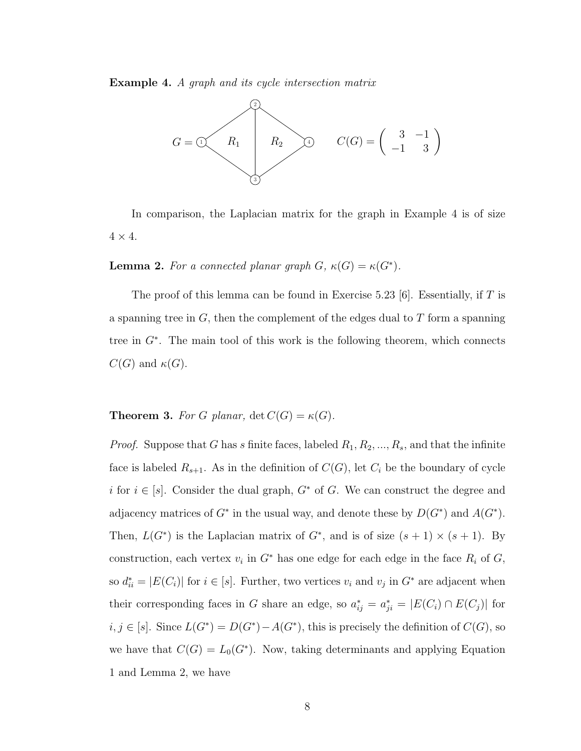<span id="page-17-0"></span>Example 4. A graph and its cycle intersection matrix



In comparison, the Laplacian matrix for the graph in Example [4](#page-17-0) is of size  $4 \times 4$ .

**Lemma 2.** For a connected planar graph  $G$ ,  $\kappa(G) = \kappa(G^*)$ .

The proof of this lemma can be found in Exercise 5.23 [\[6\]](#page-35-3). Essentially, if T is a spanning tree in  $G$ , then the complement of the edges dual to  $T$  form a spanning tree in G<sup>∗</sup> . The main tool of this work is the following theorem, which connects  $C(G)$  and  $\kappa(G)$ .

<span id="page-17-1"></span>**Theorem 3.** For G planar,  $\det C(G) = \kappa(G)$ .

*Proof.* Suppose that G has s finite faces, labeled  $R_1, R_2, ..., R_s$ , and that the infinite face is labeled  $R_{s+1}$ . As in the definition of  $C(G)$ , let  $C_i$  be the boundary of cycle i for  $i \in [s]$ . Consider the dual graph,  $G^*$  of G. We can construct the degree and adjacency matrices of  $G^*$  in the usual way, and denote these by  $D(G^*)$  and  $A(G^*)$ . Then,  $L(G^*)$  is the Laplacian matrix of  $G^*$ , and is of size  $(s + 1) \times (s + 1)$ . By construction, each vertex  $v_i$  in  $G^*$  has one edge for each edge in the face  $R_i$  of  $G$ , so  $d_{ii}^* = |E(C_i)|$  for  $i \in [s]$ . Further, two vertices  $v_i$  and  $v_j$  in  $G^*$  are adjacent when their corresponding faces in G share an edge, so  $a_{ij}^* = a_{ji}^* = |E(C_i) \cap E(C_j)|$  for  $i, j \in [s]$ . Since  $L(G^*) = D(G^*) - A(G^*)$ , this is precisely the definition of  $C(G)$ , so we have that  $C(G) = L_0(G^*)$ . Now, taking determinants and applying Equation 1 and Lemma 2, we have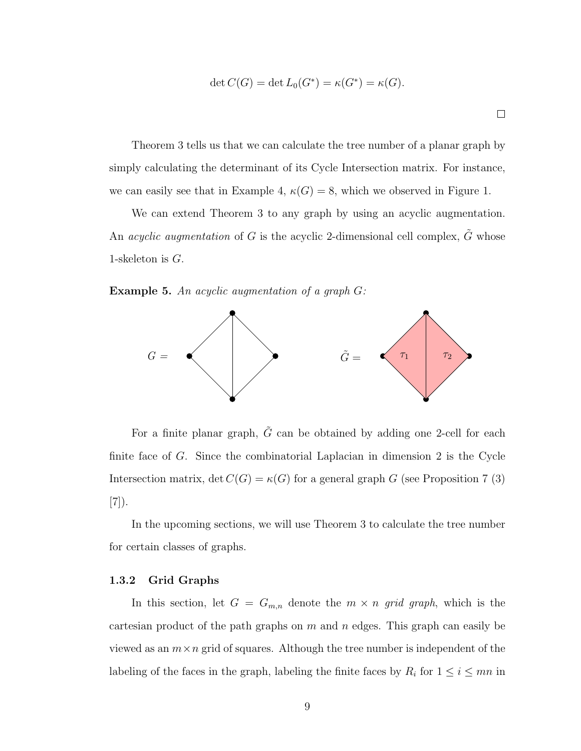$$
\det C(G) = \det L_0(G^*) = \kappa(G^*) = \kappa(G).
$$

 $\Box$ 

Theorem [3](#page-17-1) tells us that we can calculate the tree number of a planar graph by simply calculating the determinant of its Cycle Intersection matrix. For instance, we can easily see that in Example [4,](#page-17-0)  $\kappa(G) = 8$ , which we observed in Figure 1.

We can extend Theorem [3](#page-17-1) to any graph by using an acyclic augmentation. An *acyclic augmentation* of G is the acyclic 2-dimensional cell complex,  $\tilde{G}$  whose 1-skeleton is  $G$ .

Example 5. An acyclic augmentation of a graph G:



For a finite planar graph,  $\tilde{G}$  can be obtained by adding one 2-cell for each finite face of G. Since the combinatorial Laplacian in dimension 2 is the Cycle Intersection matrix, det  $C(G) = \kappa(G)$  for a general graph G (see Proposition 7 (3) [\[7\]](#page-35-4)).

In the upcoming sections, we will use Theorem [3](#page-17-1) to calculate the tree number for certain classes of graphs.

#### <span id="page-18-0"></span>1.3.2 Grid Graphs

In this section, let  $G = G_{m,n}$  denote the  $m \times n$  grid graph, which is the cartesian product of the path graphs on  $m$  and  $n$  edges. This graph can easily be viewed as an  $m \times n$  grid of squares. Although the tree number is independent of the labeling of the faces in the graph, labeling the finite faces by  $R_i$  for  $1 \leq i \leq mn$  in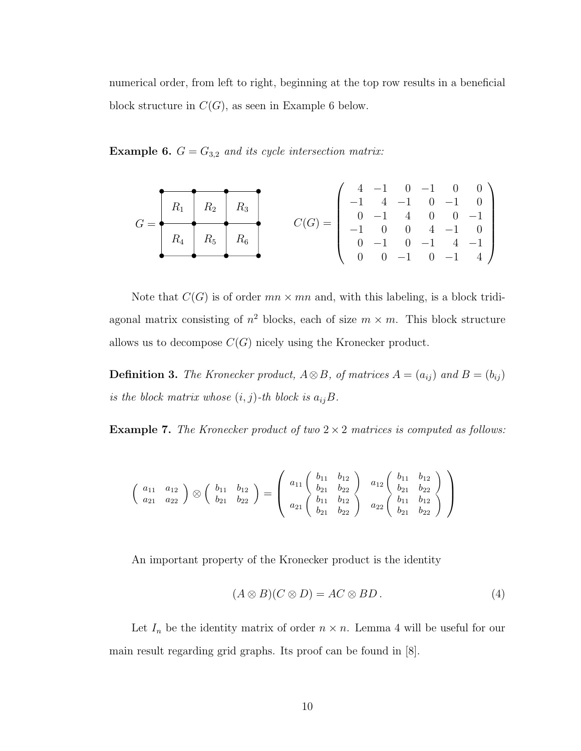numerical order, from left to right, beginning at the top row results in a beneficial block structure in  $C(G)$ , as seen in Example [6](#page-19-0) below.

<span id="page-19-0"></span>**Example 6.**  $G = G_{3,2}$  and its cycle intersection matrix:

$$
G = \begin{pmatrix} R_1 & R_2 & R_3 \\ R_4 & R_5 & R_6 \\ \end{pmatrix}
$$
  

$$
C(G) = \begin{pmatrix} 4 & -1 & 0 & -1 & 0 & 0 \\ -1 & 4 & -1 & 0 & -1 & 0 \\ 0 & -1 & 4 & 0 & 0 & -1 \\ -1 & 0 & 0 & 4 & -1 & 0 \\ 0 & -1 & 0 & -1 & 4 & -1 \\ 0 & 0 & -1 & 0 & -1 & 4 \end{pmatrix}
$$

Note that  $C(G)$  is of order  $mn \times mn$  and, with this labeling, is a block tridiagonal matrix consisting of  $n^2$  blocks, each of size  $m \times m$ . This block structure allows us to decompose  $C(G)$  nicely using the Kronecker product.

<span id="page-19-2"></span>**Definition 3.** The Kronecker product,  $A \otimes B$ , of matrices  $A = (a_{ij})$  and  $B = (b_{ij})$ is the block matrix whose  $(i, j)$ -th block is  $a_{ij}B$ .

**Example 7.** The Kronecker product of two  $2 \times 2$  matrices is computed as follows:

$$
\left(\begin{array}{cc} a_{11} & a_{12} \\ a_{21} & a_{22} \end{array}\right) \otimes \left(\begin{array}{cc} b_{11} & b_{12} \\ b_{21} & b_{22} \end{array}\right) = \left(\begin{array}{cc} a_{11} \left(\begin{array}{cc} b_{11} & b_{12} \\ b_{21} & b_{22} \\ b_{11} & b_{12} \end{array}\right) & a_{12} \left(\begin{array}{cc} b_{11} & b_{12} \\ b_{21} & b_{22} \\ b_{11} & b_{12} \end{array}\right) \\ a_{22} \left(\begin{array}{cc} b_{11} & b_{12} \\ b_{21} & b_{22} \end{array}\right) & a_{22} \left(\begin{array}{cc} b_{11} & b_{12} \\ b_{21} & b_{22} \end{array}\right) \end{array}\right)
$$

An important property of the Kronecker product is the identity

$$
(A \otimes B)(C \otimes D) = AC \otimes BD. \tag{4}
$$

<span id="page-19-1"></span>Let  $I_n$  be the identity matrix of order  $n \times n$ . Lemma [4](#page-19-1) will be useful for our main result regarding grid graphs. Its proof can be found in [\[8\]](#page-35-5).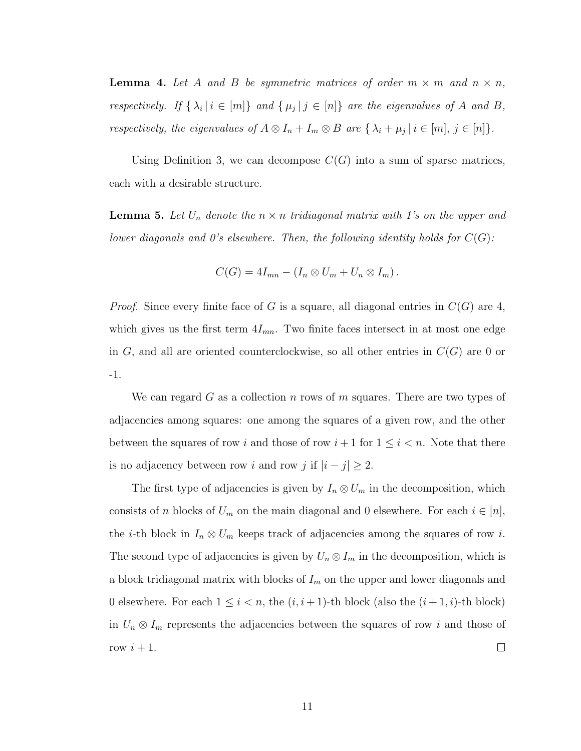**Lemma 4.** Let A and B be symmetric matrices of order  $m \times m$  and  $n \times n$ , respectively. If  $\{\lambda_i | i \in [m]\}$  and  $\{\mu_j | j \in [n]\}$  are the eigenvalues of A and B, respectively, the eigenvalues of  $A \otimes I_n + I_m \otimes B$  are  $\{\lambda_i + \mu_j \mid i \in [m], j \in [n]\}.$ 

Using Definition [3,](#page-19-2) we can decompose  $C(G)$  into a sum of sparse matrices, each with a desirable structure.

<span id="page-20-0"></span>**Lemma 5.** Let  $U_n$  denote the  $n \times n$  tridiagonal matrix with 1's on the upper and lower diagonals and 0's elsewhere. Then, the following identity holds for  $C(G)$ :

$$
C(G) = 4I_{mn} - (I_n \otimes U_m + U_n \otimes I_m).
$$

*Proof.* Since every finite face of G is a square, all diagonal entries in  $C(G)$  are 4, which gives us the first term  $4I_{mn}$ . Two finite faces intersect in at most one edge in  $G$ , and all are oriented counterclockwise, so all other entries in  $C(G)$  are 0 or -1.

We can regard G as a collection n rows of m squares. There are two types of adjacencies among squares: one among the squares of a given row, and the other between the squares of row i and those of row  $i+1$  for  $1 \leq i \leq n$ . Note that there is no adjacency between row i and row j if  $|i - j| \ge 2$ .

The first type of adjacencies is given by  $I_n \otimes U_m$  in the decomposition, which consists of n blocks of  $U_m$  on the main diagonal and 0 elsewhere. For each  $i \in [n]$ , the *i*-th block in  $I_n \otimes U_m$  keeps track of adjacencies among the squares of row *i*. The second type of adjacencies is given by  $U_n \otimes I_m$  in the decomposition, which is a block tridiagonal matrix with blocks of  $I_m$  on the upper and lower diagonals and 0 elsewhere. For each  $1 \leq i < n$ , the  $(i, i + 1)$ -th block (also the  $(i + 1, i)$ -th block) in  $U_n \otimes I_m$  represents the adjacencies between the squares of row i and those of row  $i+1$ .  $\Box$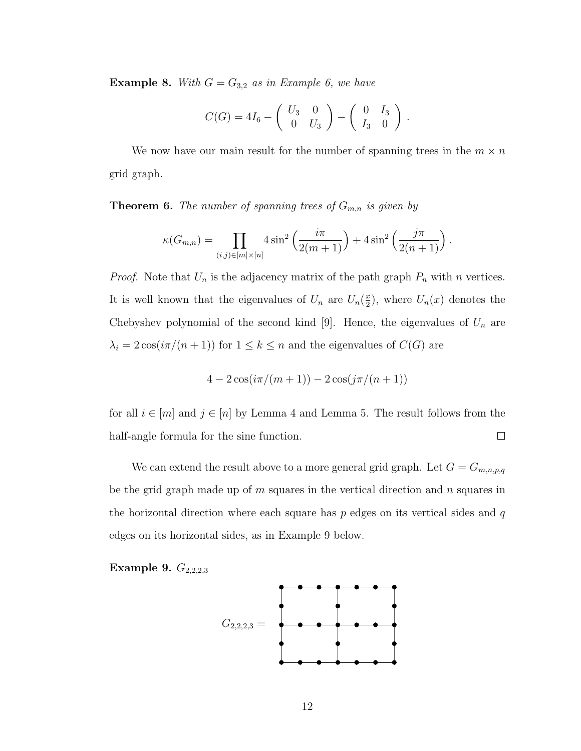**Example 8.** With  $G = G_{3,2}$  as in Example [6,](#page-19-0) we have

$$
C(G) = 4I_6 - \left(\begin{array}{cc} U_3 & 0 \\ 0 & U_3 \end{array}\right) - \left(\begin{array}{cc} 0 & I_3 \\ I_3 & 0 \end{array}\right).
$$

We now have our main result for the number of spanning trees in the  $m \times n$ grid graph.

<span id="page-21-1"></span>**Theorem 6.** The number of spanning trees of  $G_{m,n}$  is given by

$$
\kappa(G_{m,n}) = \prod_{(i,j)\in[m]\times[n]} 4\sin^2\left(\frac{i\pi}{2(m+1)}\right) + 4\sin^2\left(\frac{j\pi}{2(n+1)}\right).
$$

*Proof.* Note that  $U_n$  is the adjacency matrix of the path graph  $P_n$  with n vertices. It is well known that the eigenvalues of  $U_n$  are  $U_n(\frac{x}{2})$  $(\frac{x}{2})$ , where  $U_n(x)$  denotes the Chebyshev polynomial of the second kind [\[9\]](#page-35-6). Hence, the eigenvalues of  $U_n$  are  $\lambda_i = 2\cos(i\pi/(n+1))$  for  $1 \leq k \leq n$  and the eigenvalues of  $C(G)$  are

$$
4 - 2\cos(i\pi/(m+1)) - 2\cos(j\pi/(n+1))
$$

for all  $i \in [m]$  and  $j \in [n]$  by Lemma [4](#page-19-1) and Lemma [5.](#page-20-0) The result follows from the half-angle formula for the sine function.  $\Box$ 

We can extend the result above to a more general grid graph. Let  $G = G_{m,n,p,q}$ be the grid graph made up of  $m$  squares in the vertical direction and  $n$  squares in the horizontal direction where each square has  $p$  edges on its vertical sides and  $q$ edges on its horizontal sides, as in Example [9](#page-21-0) below.

### <span id="page-21-0"></span>Example 9.  $G_{2,2,2,3}$

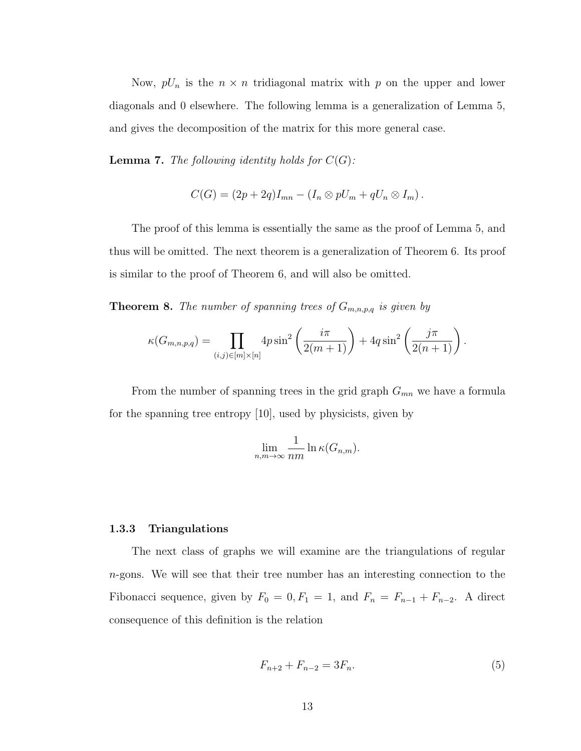Now,  $pU_n$  is the  $n \times n$  tridiagonal matrix with p on the upper and lower diagonals and 0 elsewhere. The following lemma is a generalization of Lemma [5,](#page-20-0) and gives the decomposition of the matrix for this more general case.

**Lemma 7.** The following identity holds for  $C(G)$ :

$$
C(G) = (2p + 2q)I_{mn} - (I_n \otimes pU_m + qU_n \otimes I_m).
$$

The proof of this lemma is essentially the same as the proof of Lemma [5,](#page-20-0) and thus will be omitted. The next theorem is a generalization of Theorem [6.](#page-21-1) Its proof is similar to the proof of Theorem [6,](#page-21-1) and will also be omitted.

**Theorem 8.** The number of spanning trees of  $G_{m,n,p,q}$  is given by

$$
\kappa(G_{m,n,p,q}) = \prod_{(i,j)\in[m]\times[n]} 4p\sin^2\left(\frac{i\pi}{2(m+1)}\right) + 4q\sin^2\left(\frac{j\pi}{2(n+1)}\right).
$$

From the number of spanning trees in the grid graph  $G_{mn}$  we have a formula for the spanning tree entropy [\[10\]](#page-35-7), used by physicists, given by

$$
\lim_{n,m\to\infty}\frac{1}{nm}\ln \kappa(G_{n,m}).
$$

#### <span id="page-22-0"></span>1.3.3 Triangulations

<span id="page-22-1"></span>The next class of graphs we will examine are the triangulations of regular n-gons. We will see that their tree number has an interesting connection to the Fibonacci sequence, given by  $F_0 = 0, F_1 = 1$ , and  $F_n = F_{n-1} + F_{n-2}$ . A direct consequence of this definition is the relation

$$
F_{n+2} + F_{n-2} = 3F_n. \tag{5}
$$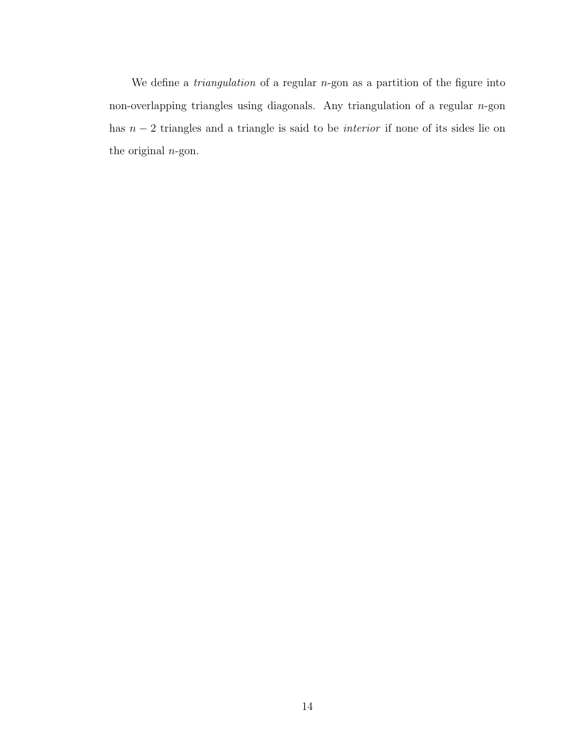We define a *triangulation* of a regular  $n$ -gon as a partition of the figure into non-overlapping triangles using diagonals. Any triangulation of a regular  $n$ -gon has  $n-2$  triangles and a triangle is said to be *interior* if none of its sides lie on the original  $n$ -gon.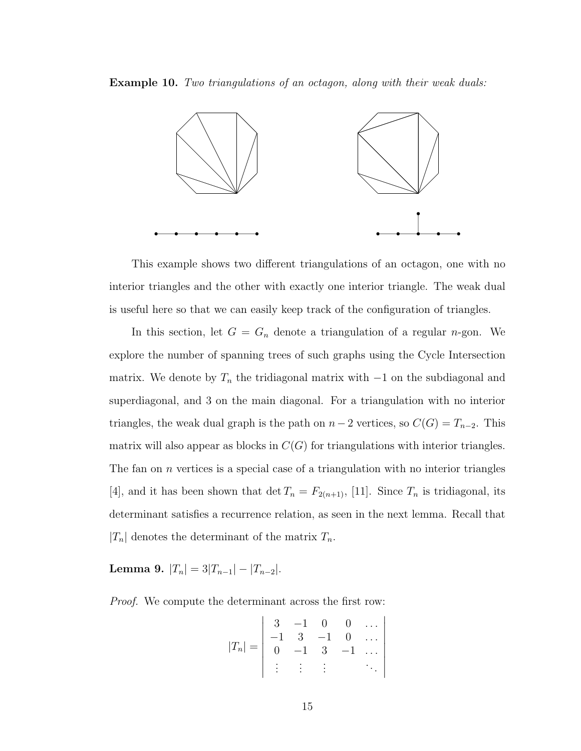Example 10. Two triangulations of an octagon, along with their weak duals:



This example shows two different triangulations of an octagon, one with no interior triangles and the other with exactly one interior triangle. The weak dual is useful here so that we can easily keep track of the configuration of triangles.

In this section, let  $G = G_n$  denote a triangulation of a regular *n*-gon. We explore the number of spanning trees of such graphs using the Cycle Intersection matrix. We denote by  $T_n$  the tridiagonal matrix with  $-1$  on the subdiagonal and superdiagonal, and 3 on the main diagonal. For a triangulation with no interior triangles, the weak dual graph is the path on  $n-2$  vertices, so  $C(G) = T_{n-2}$ . This matrix will also appear as blocks in  $C(G)$  for triangulations with interior triangles. The fan on  $n$  vertices is a special case of a triangulation with no interior triangles [\[4\]](#page-35-1), and it has been shown that det  $T_n = F_{2(n+1)}$ , [\[11\]](#page-35-8). Since  $T_n$  is tridiagonal, its determinant satisfies a recurrence relation, as seen in the next lemma. Recall that  $|T_n|$  denotes the determinant of the matrix  $T_n$ .

Lemma 9.  $|T_n| = 3|T_{n-1}| - |T_{n-2}|$ .

Proof. We compute the determinant across the first row:

$$
|T_n| = \begin{vmatrix} 3 & -1 & 0 & 0 & \dots \\ -1 & 3 & -1 & 0 & \dots \\ 0 & -1 & 3 & -1 & \dots \\ \vdots & \vdots & \vdots & \ddots \end{vmatrix}
$$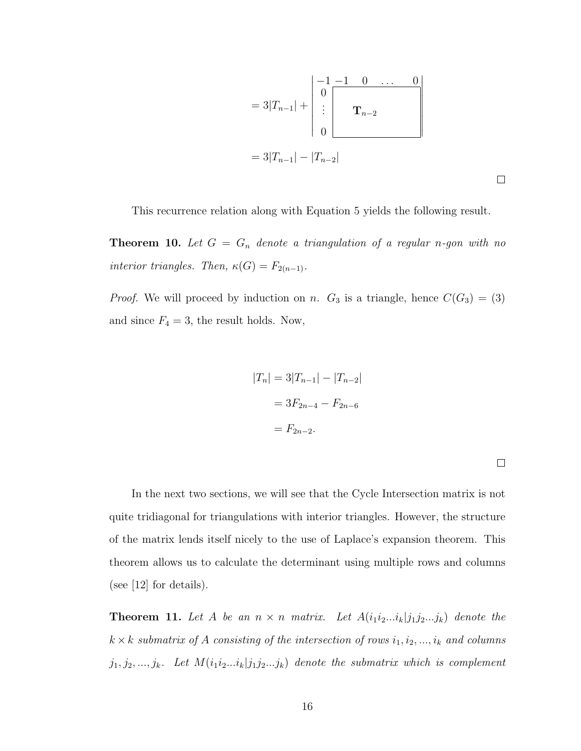$$
=3|T_{n-1}|+\begin{vmatrix}-1-1 & 0 & \dots & 0\\0 \vdots & & &\\ \vdots & & \mathbf{T}_{n-2} \\0 & & & \end{vmatrix}
$$

$$
=3|T_{n-1}|-|T_{n-2}|
$$

This recurrence relation along with Equation [5](#page-22-1) yields the following result.

**Theorem 10.** Let  $G = G_n$  denote a triangulation of a regular n-gon with no interior triangles. Then,  $\kappa(G) = F_{2(n-1)}$ .

*Proof.* We will proceed by induction on n.  $G_3$  is a triangle, hence  $C(G_3) = (3)$ and since  $F_4 = 3$ , the result holds. Now,

$$
|T_n| = 3|T_{n-1}| - |T_{n-2}|
$$
  
= 3F<sub>2n-4</sub> - F<sub>2n-6</sub>  
= F<sub>2n-2</sub>.

 $\Box$ 

In the next two sections, we will see that the Cycle Intersection matrix is not quite tridiagonal for triangulations with interior triangles. However, the structure of the matrix lends itself nicely to the use of Laplace's expansion theorem. This theorem allows us to calculate the determinant using multiple rows and columns (see [\[12\]](#page-35-9) for details).

**Theorem 11.** Let A be an  $n \times n$  matrix. Let  $A(i_1i_2...i_k|j_1j_2...j_k)$  denote the  $k \times k$  submatrix of A consisting of the intersection of rows  $i_1, i_2, ..., i_k$  and columns  $j_1, j_2, \ldots, j_k$ . Let  $M(i_1i_2 \ldots i_k|j_1j_2 \ldots j_k)$  denote the submatrix which is complement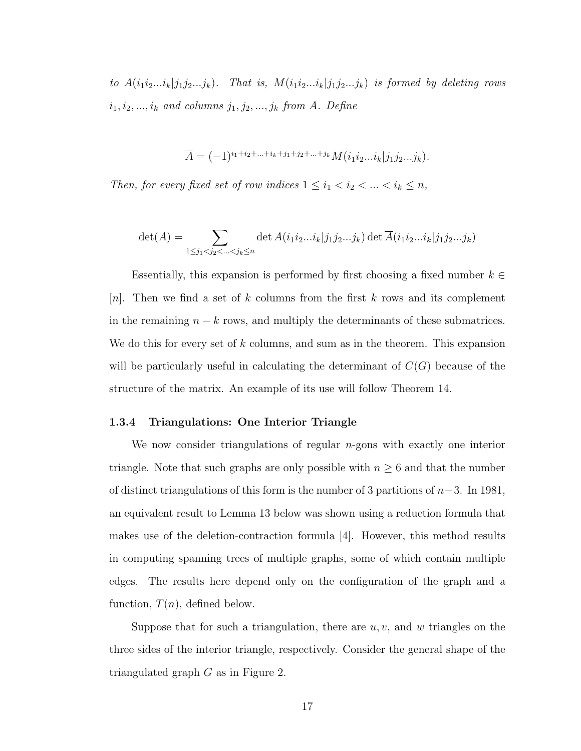to  $A(i_1i_2...i_k|j_1j_2...j_k)$ . That is,  $M(i_1i_2...i_k|j_1j_2...j_k)$  is formed by deleting rows  $i_1, i_2, ..., i_k$  and columns  $j_1, j_2, ..., j_k$  from A. Define

$$
\overline{A} = (-1)^{i_1 + i_2 + \ldots + i_k + j_1 + j_2 + \ldots + j_k} M(i_1 i_2 \ldots i_k | j_1 j_2 \ldots j_k).
$$

Then, for every fixed set of row indices  $1 \leq i_1 < i_2 < \ldots < i_k \leq n$ ,

$$
\det(A) = \sum_{1 \le j_1 < j_2 < \dots < j_k \le n} \det A(i_1 i_2 \dots i_k | j_1 j_2 \dots j_k) \det \overline{A}(i_1 i_2 \dots i_k | j_1 j_2 \dots j_k)
$$

Essentially, this expansion is performed by first choosing a fixed number  $k \in$ [n]. Then we find a set of k columns from the first k rows and its complement in the remaining  $n - k$  rows, and multiply the determinants of these submatrices. We do this for every set of  $k$  columns, and sum as in the theorem. This expansion will be particularly useful in calculating the determinant of  $C(G)$  because of the structure of the matrix. An example of its use will follow Theorem [14.](#page-29-0)

#### <span id="page-26-0"></span>1.3.4 Triangulations: One Interior Triangle

We now consider triangulations of regular  $n$ -gons with exactly one interior triangle. Note that such graphs are only possible with  $n \geq 6$  and that the number of distinct triangulations of this form is the number of 3 partitions of  $n-3$ . In 1981, an equivalent result to Lemma [13](#page-29-1) below was shown using a reduction formula that makes use of the deletion-contraction formula [\[4\]](#page-35-1). However, this method results in computing spanning trees of multiple graphs, some of which contain multiple edges. The results here depend only on the configuration of the graph and a function,  $T(n)$ , defined below.

Suppose that for such a triangulation, there are  $u, v$ , and w triangles on the three sides of the interior triangle, respectively. Consider the general shape of the triangulated graph G as in Figure 2.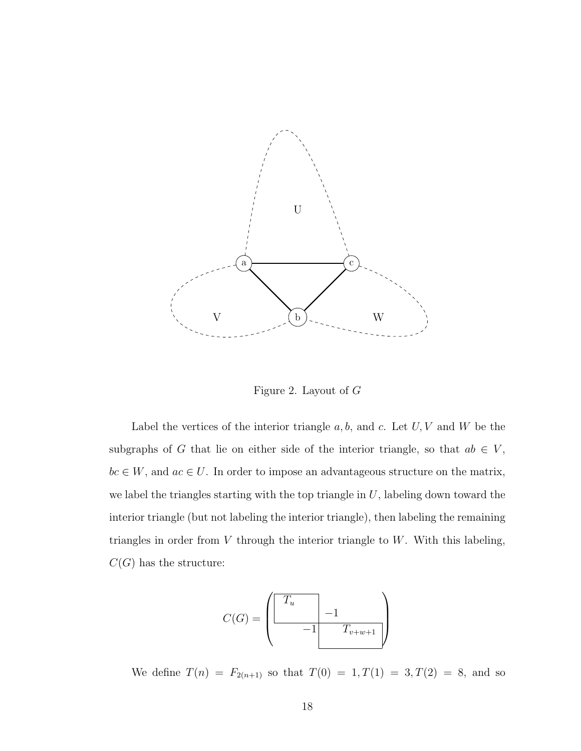

<span id="page-27-0"></span>Figure 2. Layout of G

Label the vertices of the interior triangle  $a, b$ , and  $c$ . Let  $U, V$  and  $W$  be the subgraphs of G that lie on either side of the interior triangle, so that  $ab \in V$ ,  $bc \in W$ , and  $ac \in U$ . In order to impose an advantageous structure on the matrix, we label the triangles starting with the top triangle in  $U$ , labeling down toward the interior triangle (but not labeling the interior triangle), then labeling the remaining triangles in order from  $V$  through the interior triangle to  $W$ . With this labeling,  $C(G)$  has the structure:

$$
C(G) = \left(\begin{array}{c|c} T_u & & \\ \hline & -1 & \\ \hline & & T_{v+w+1} \end{array}\right)
$$

We define  $T(n) = F_{2(n+1)}$  so that  $T(0) = 1, T(1) = 3, T(2) = 8$ , and so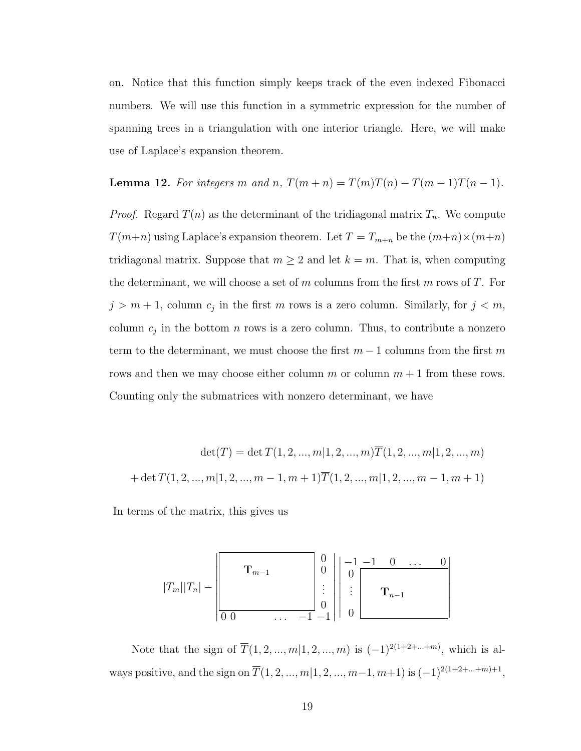on. Notice that this function simply keeps track of the even indexed Fibonacci numbers. We will use this function in a symmetric expression for the number of spanning trees in a triangulation with one interior triangle. Here, we will make use of Laplace's expansion theorem.

<span id="page-28-0"></span>**Lemma 12.** For integers m and n,  $T(m+n) = T(m)T(n) - T(m-1)T(n-1)$ .

*Proof.* Regard  $T(n)$  as the determinant of the tridiagonal matrix  $T_n$ . We compute  $T(m+n)$  using Laplace's expansion theorem. Let  $T = T_{m+n}$  be the  $(m+n) \times (m+n)$ tridiagonal matrix. Suppose that  $m \geq 2$  and let  $k = m$ . That is, when computing the determinant, we will choose a set of m columns from the first m rows of T. For  $j > m+1$ , column  $c_j$  in the first m rows is a zero column. Similarly, for  $j < m$ , column  $c_j$  in the bottom n rows is a zero column. Thus, to contribute a nonzero term to the determinant, we must choose the first  $m-1$  columns from the first m rows and then we may choose either column m or column  $m + 1$  from these rows. Counting only the submatrices with nonzero determinant, we have

$$
\det(T) = \det T(1, 2, ..., m | 1, 2, ..., m) \overline{T}(1, 2, ..., m | 1, 2, ..., m)
$$

$$
+ \det T(1, 2, ..., m | 1, 2, ..., m - 1, m + 1) \overline{T}(1, 2, ..., m | 1, 2, ..., m - 1, m + 1)
$$

In terms of the matrix, this gives us

$$
|T_m||T_n| - \left\lfloor \frac{\mathbf{T}_{m-1}}{\mathbf{T}_{m-1}} \right\rfloor \begin{array}{c} 0 \\ 0 \\ \vdots \\ 0 \\ 0 \end{array} \right\lfloor \frac{-1}{0} \frac{-1}{\mathbf{T}_{n-1}} \cdots 0 \\ \vdots \\ 0 \end{array} \right\lfloor \frac{-1}{\mathbf{T}_{n-1}} \frac{0}{\mathbf{T}_{n-1}} \cdots 0
$$

Note that the sign of  $\overline{T}(1, 2, ..., m|1, 2, ..., m)$  is  $(-1)^{2(1+2+...+m)}$ , which is always positive, and the sign on  $\overline{T}(1, 2, ..., m|1, 2, ..., m-1, m+1)$  is  $(-1)^{2(1+2+...+m)+1}$ ,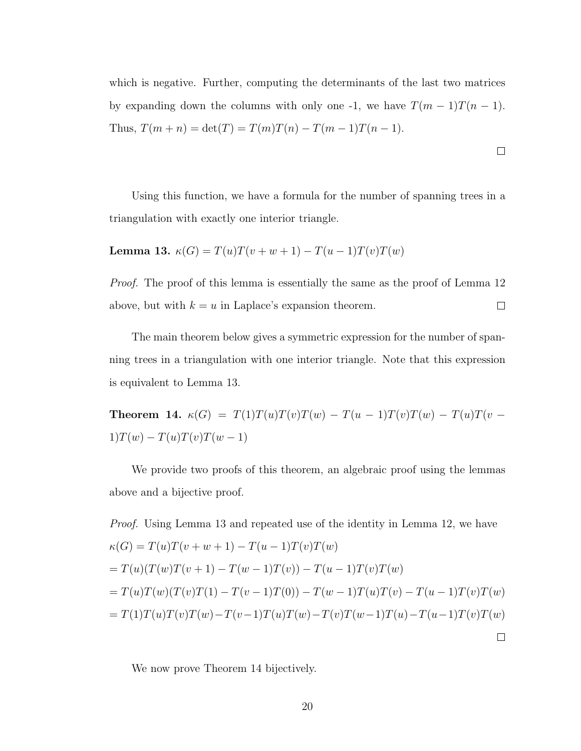which is negative. Further, computing the determinants of the last two matrices by expanding down the columns with only one -1, we have  $T(m-1)T(n-1)$ . Thus,  $T(m + n) = \det(T) = T(m)T(n) - T(m - 1)T(n - 1)$ .

 $\Box$ 

Using this function, we have a formula for the number of spanning trees in a triangulation with exactly one interior triangle.

<span id="page-29-1"></span>Lemma 13.  $\kappa(G) = T(u)T(v + w + 1) - T(u - 1)T(v)T(w)$ 

*Proof.* The proof of this lemma is essentially the same as the proof of Lemma [12](#page-28-0)  $\Box$ above, but with  $k = u$  in Laplace's expansion theorem.

The main theorem below gives a symmetric expression for the number of spanning trees in a triangulation with one interior triangle. Note that this expression is equivalent to Lemma [13.](#page-29-1)

<span id="page-29-0"></span>Theorem 14.  $\kappa(G) = T(1)T(u)T(v)T(w) - T(u - 1)T(v)T(w) - T(u)T(v - 1)T(v - 1)T(w)$  $1)T(w) - T(u)T(v)T(w - 1)$ 

We provide two proofs of this theorem, an algebraic proof using the lemmas above and a bijective proof.

*Proof.* Using Lemma 13 and repeated use of the identity in Lemma 12, we have 
$$
\kappa(G) = T(u)T(v+w+1) - T(u-1)T(v)T(w)
$$

$$
= T(u)(T(w)T(v+1) - T(w-1)T(v)) - T(u-1)T(v)T(w)
$$

$$
= T(u)T(w)(T(v)T(1) - T(v-1)T(0)) - T(w-1)T(u)T(v) - T(u-1)T(v)T(w)
$$

$$
= T(1)T(u)T(v)T(w) - T(v-1)T(u)T(w) - T(v)T(w-1)T(u) - T(u-1)T(v)T(w)
$$

We now prove Theorem [14](#page-29-0) bijectively.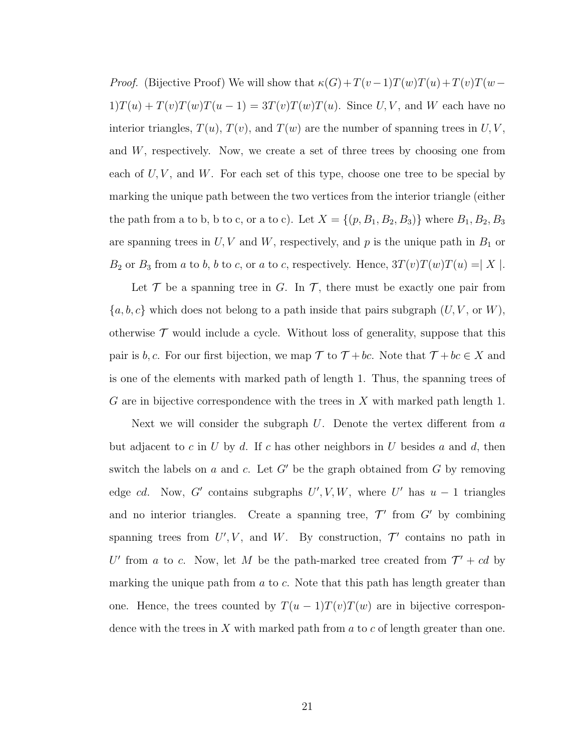*Proof.* (Bijective Proof) We will show that  $\kappa(G) + T(v-1)T(w)T(u) + T(v)T(w-\mathbb{I})$  $1)T(u) + T(v)T(w)T(u - 1) = 3T(v)T(w)T(u)$ . Since  $U, V$ , and  $W$  each have no interior triangles,  $T(u)$ ,  $T(v)$ , and  $T(w)$  are the number of spanning trees in  $U, V$ , and W, respectively. Now, we create a set of three trees by choosing one from each of  $U, V$ , and  $W$ . For each set of this type, choose one tree to be special by marking the unique path between the two vertices from the interior triangle (either the path from a to b, b to c, or a to c). Let  $X = \{(p, B_1, B_2, B_3)\}\$  where  $B_1, B_2, B_3$ are spanning trees in  $U, V$  and  $W$ , respectively, and  $p$  is the unique path in  $B_1$  or  $B_2$  or  $B_3$  from a to b, b to c, or a to c, respectively. Hence,  $3T(v)T(w)T(u) = |X|$ .

Let  $\mathcal T$  be a spanning tree in G. In  $\mathcal T$ , there must be exactly one pair from  ${a, b, c}$  which does not belong to a path inside that pairs subgraph  $(U, V, \text{or } W)$ , otherwise  $\mathcal T$  would include a cycle. Without loss of generality, suppose that this pair is b, c. For our first bijection, we map  $\mathcal T$  to  $\mathcal T + bc$ . Note that  $\mathcal T + bc \in X$  and is one of the elements with marked path of length 1. Thus, the spanning trees of G are in bijective correspondence with the trees in  $X$  with marked path length 1.

Next we will consider the subgraph  $U$ . Denote the vertex different from a but adjacent to c in U by d. If c has other neighbors in U besides a and d, then switch the labels on  $a$  and  $c$ . Let  $G'$  be the graph obtained from  $G$  by removing edge cd. Now, G' contains subgraphs  $U', V, W$ , where U' has  $u - 1$  triangles and no interior triangles. Create a spanning tree,  $\mathcal{T}'$  from  $G'$  by combining spanning trees from  $U', V$ , and W. By construction,  $\mathcal{T}'$  contains no path in U' from a to c. Now, let M be the path-marked tree created from  $\mathcal{T}' + cd$  by marking the unique path from  $a$  to  $c$ . Note that this path has length greater than one. Hence, the trees counted by  $T(u-1)T(v)T(w)$  are in bijective correspondence with the trees in X with marked path from  $a$  to  $c$  of length greater than one.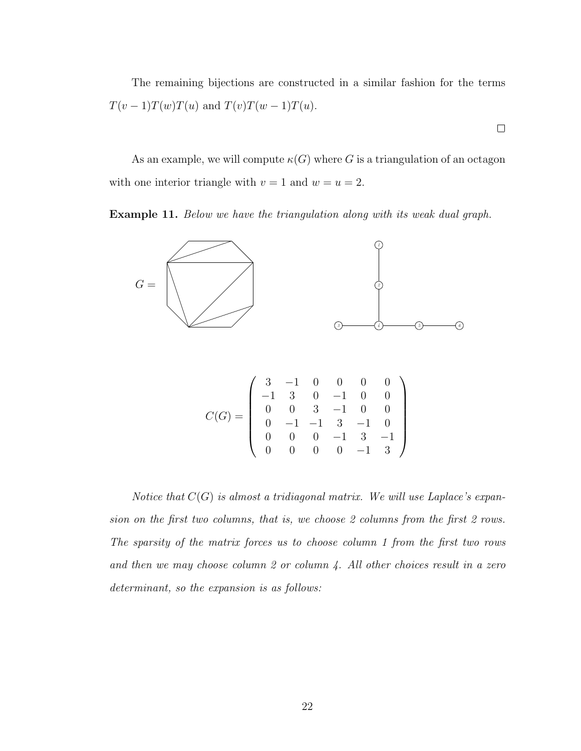The remaining bijections are constructed in a similar fashion for the terms  $T(v-1)T(w)T(u)$  and  $T(v)T(w-1)T(u)$ .

 $\Box$ 

As an example, we will compute  $\kappa(G)$  where G is a triangulation of an octagon with one interior triangle with  $v = 1$  and  $w = u = 2$ .

Example 11. Below we have the triangulation along with its weak dual graph.



Notice that  $C(G)$  is almost a tridiagonal matrix. We will use Laplace's expansion on the first two columns, that is, we choose 2 columns from the first 2 rows. The sparsity of the matrix forces us to choose column 1 from the first two rows and then we may choose column 2 or column 4. All other choices result in a zero determinant, so the expansion is as follows: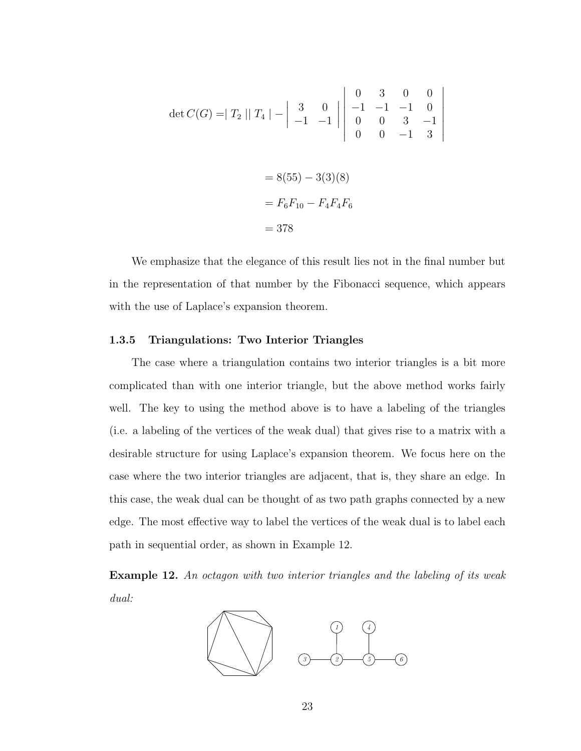$$
\det C(G) = |T_2| |T_4| - \left| \begin{array}{ccc} 3 & 0 \\ -1 & -1 \\ 0 & 0 \\ 0 & 0 \end{array} \right| \begin{array}{ccc} 0 & 3 & 0 & 0 \\ -1 & -1 & -1 & 0 \\ 0 & 0 & 3 & -1 \\ 0 & 0 & -1 & 3 \end{array}
$$

$$
= 8(55) - 3(3)(8)
$$

$$
= F_6F_{10} - F_4F_4F_6
$$

$$
= 378
$$

 $\overline{\phantom{a}}$  $\Big\}$  $\overline{\phantom{a}}$  $\overline{\phantom{a}}$  $\overline{\phantom{a}}$  $\overline{\phantom{a}}$  $\overline{\phantom{a}}$  $\vert$ 

We emphasize that the elegance of this result lies not in the final number but in the representation of that number by the Fibonacci sequence, which appears with the use of Laplace's expansion theorem.

#### <span id="page-32-0"></span>1.3.5 Triangulations: Two Interior Triangles

The case where a triangulation contains two interior triangles is a bit more complicated than with one interior triangle, but the above method works fairly well. The key to using the method above is to have a labeling of the triangles (i.e. a labeling of the vertices of the weak dual) that gives rise to a matrix with a desirable structure for using Laplace's expansion theorem. We focus here on the case where the two interior triangles are adjacent, that is, they share an edge. In this case, the weak dual can be thought of as two path graphs connected by a new edge. The most effective way to label the vertices of the weak dual is to label each path in sequential order, as shown in Example [12.](#page-32-1)

<span id="page-32-1"></span>Example 12. An octagon with two interior triangles and the labeling of its weak dual:

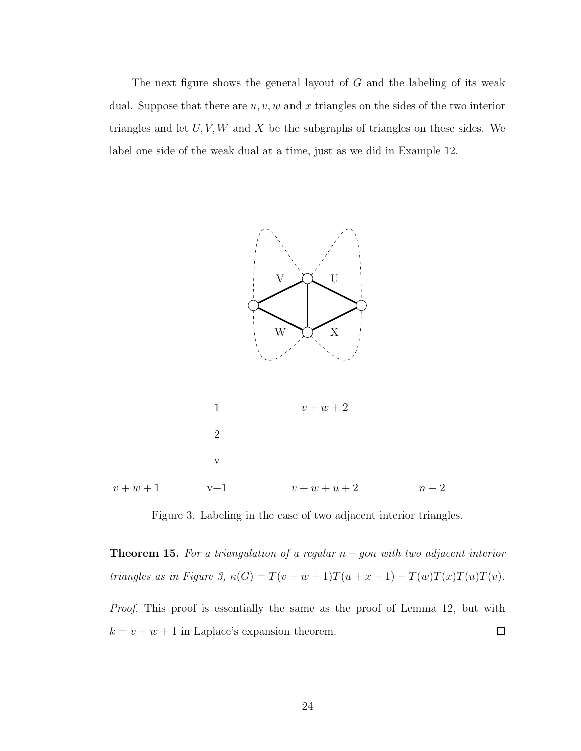The next figure shows the general layout of G and the labeling of its weak dual. Suppose that there are  $u, v, w$  and x triangles on the sides of the two interior triangles and let  $U, V, W$  and X be the subgraphs of triangles on these sides. We label one side of the weak dual at a time, just as we did in Example [12.](#page-32-1)



<span id="page-33-0"></span>Figure 3. Labeling in the case of two adjacent interior triangles.

**Theorem 15.** For a triangulation of a regular  $n - g$ on with two adjacent interior triangles as in Figure 3,  $\kappa(G) = T(v + w + 1)T(u + x + 1) - T(w)T(x)T(u)T(v)$ .

Proof. This proof is essentially the same as the proof of Lemma [12,](#page-28-0) but with  $k = v + w + 1$  in Laplace's expansion theorem.  $\Box$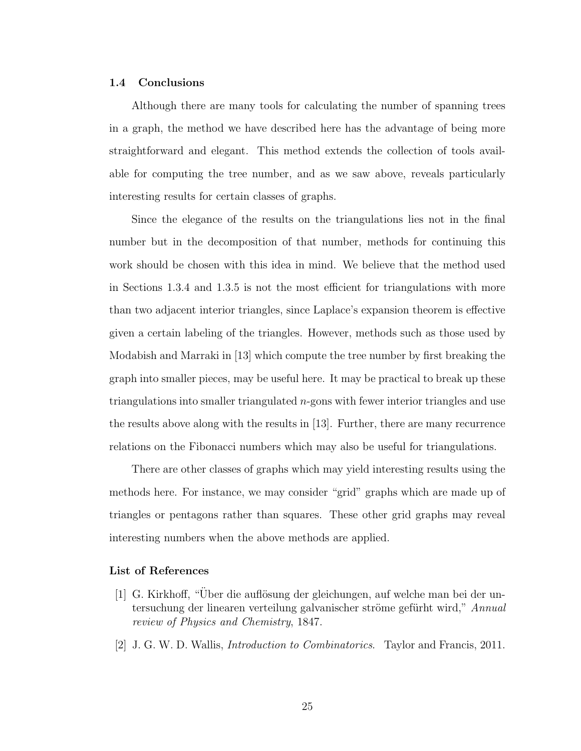#### <span id="page-34-0"></span>1.4 Conclusions

Although there are many tools for calculating the number of spanning trees in a graph, the method we have described here has the advantage of being more straightforward and elegant. This method extends the collection of tools available for computing the tree number, and as we saw above, reveals particularly interesting results for certain classes of graphs.

Since the elegance of the results on the triangulations lies not in the final number but in the decomposition of that number, methods for continuing this work should be chosen with this idea in mind. We believe that the method used in Sections 1.3.4 and 1.3.5 is not the most efficient for triangulations with more than two adjacent interior triangles, since Laplace's expansion theorem is effective given a certain labeling of the triangles. However, methods such as those used by Modabish and Marraki in [\[13\]](#page-35-10) which compute the tree number by first breaking the graph into smaller pieces, may be useful here. It may be practical to break up these triangulations into smaller triangulated n-gons with fewer interior triangles and use the results above along with the results in [\[13\]](#page-35-10). Further, there are many recurrence relations on the Fibonacci numbers which may also be useful for triangulations.

There are other classes of graphs which may yield interesting results using the methods here. For instance, we may consider "grid" graphs which are made up of triangles or pentagons rather than squares. These other grid graphs may reveal interesting numbers when the above methods are applied.

#### <span id="page-34-1"></span>List of References

- <span id="page-34-2"></span>[1] G. Kirkhoff, "Über die auflösung der gleichungen, auf welche man bei der untersuchung der linearen verteilung galvanischer ströme gefürht wird," Annual review of Physics and Chemistry, 1847.
- <span id="page-34-3"></span>[2] J. G. W. D. Wallis, Introduction to Combinatorics. Taylor and Francis, 2011.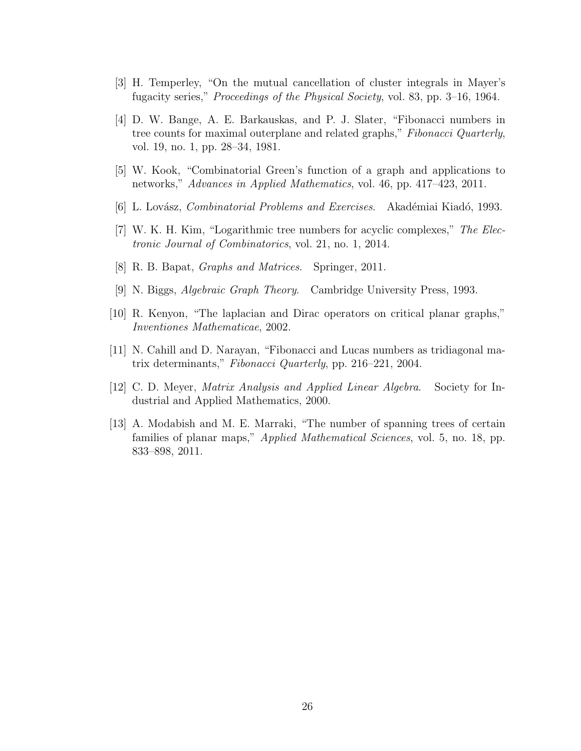- <span id="page-35-0"></span>[3] H. Temperley, "On the mutual cancellation of cluster integrals in Mayer's fugacity series," Proceedings of the Physical Society, vol. 83, pp. 3–16, 1964.
- <span id="page-35-1"></span>[4] D. W. Bange, A. E. Barkauskas, and P. J. Slater, "Fibonacci numbers in tree counts for maximal outerplane and related graphs," Fibonacci Quarterly, vol. 19, no. 1, pp. 28–34, 1981.
- <span id="page-35-2"></span>[5] W. Kook, "Combinatorial Green's function of a graph and applications to networks," Advances in Applied Mathematics, vol. 46, pp. 417–423, 2011.
- <span id="page-35-3"></span>[6] L. Lovász, *Combinatorial Problems and Exercises.* Akadémiai Kiadó, 1993.
- <span id="page-35-4"></span>[7] W. K. H. Kim, "Logarithmic tree numbers for acyclic complexes," The Electronic Journal of Combinatorics, vol. 21, no. 1, 2014.
- <span id="page-35-5"></span>[8] R. B. Bapat, Graphs and Matrices. Springer, 2011.
- <span id="page-35-6"></span>[9] N. Biggs, Algebraic Graph Theory. Cambridge University Press, 1993.
- <span id="page-35-7"></span>[10] R. Kenyon, "The laplacian and Dirac operators on critical planar graphs," Inventiones Mathematicae, 2002.
- <span id="page-35-8"></span>[11] N. Cahill and D. Narayan, "Fibonacci and Lucas numbers as tridiagonal matrix determinants," Fibonacci Quarterly, pp. 216–221, 2004.
- <span id="page-35-9"></span>[12] C. D. Meyer, Matrix Analysis and Applied Linear Algebra. Society for Industrial and Applied Mathematics, 2000.
- <span id="page-35-10"></span>[13] A. Modabish and M. E. Marraki, "The number of spanning trees of certain families of planar maps," *Applied Mathematical Sciences*, vol. 5, no. 18, pp. 833–898, 2011.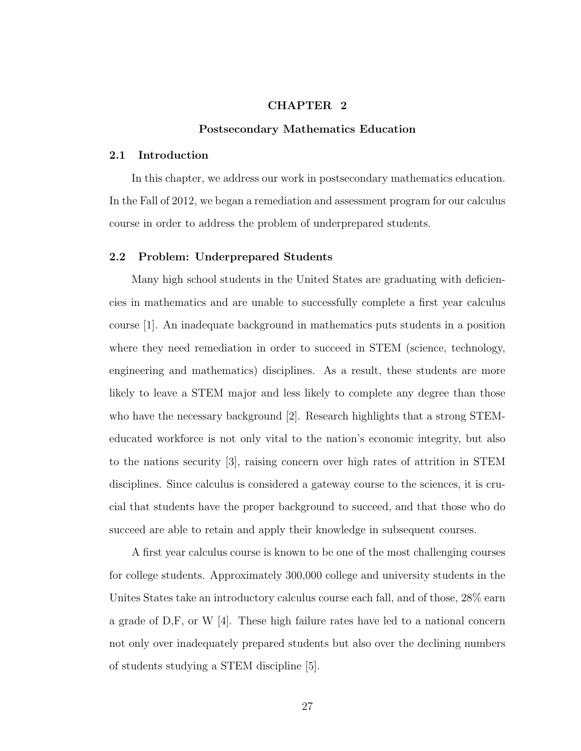# CHAPTER 2

#### Postsecondary Mathematics Education

#### 2.1 Introduction

In this chapter, we address our work in postsecondary mathematics education. In the Fall of 2012, we began a remediation and assessment program for our calculus course in order to address the problem of underprepared students.

#### 2.2 Problem: Underprepared Students

Many high school students in the United States are graduating with deficiencies in mathematics and are unable to successfully complete a first year calculus course [\[1\]](#page-55-0). An inadequate background in mathematics puts students in a position where they need remediation in order to succeed in STEM (science, technology, engineering and mathematics) disciplines. As a result, these students are more likely to leave a STEM major and less likely to complete any degree than those who have the necessary background [\[2\]](#page-55-1). Research highlights that a strong STEMeducated workforce is not only vital to the nation's economic integrity, but also to the nations security [\[3\]](#page-55-2), raising concern over high rates of attrition in STEM disciplines. Since calculus is considered a gateway course to the sciences, it is crucial that students have the proper background to succeed, and that those who do succeed are able to retain and apply their knowledge in subsequent courses.

A first year calculus course is known to be one of the most challenging courses for college students. Approximately 300,000 college and university students in the Unites States take an introductory calculus course each fall, and of those, 28% earn a grade of D,F, or W [\[4\]](#page-55-3). These high failure rates have led to a national concern not only over inadequately prepared students but also over the declining numbers of students studying a STEM discipline [\[5\]](#page-56-0).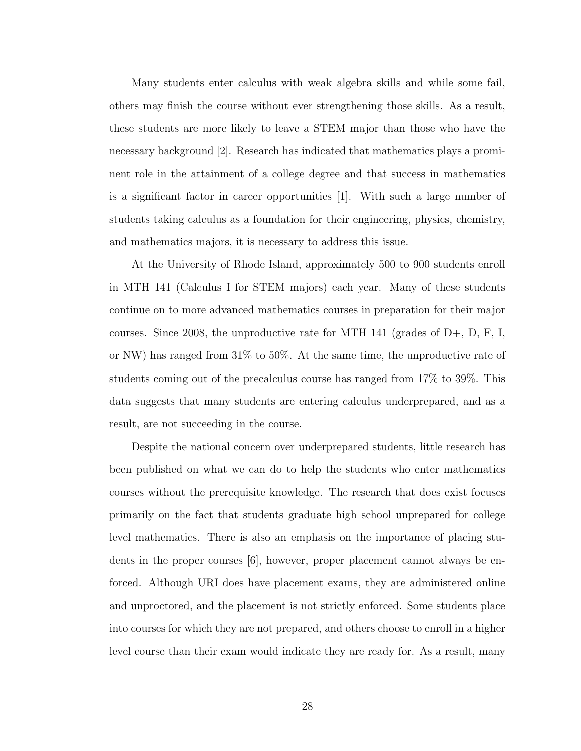Many students enter calculus with weak algebra skills and while some fail, others may finish the course without ever strengthening those skills. As a result, these students are more likely to leave a STEM major than those who have the necessary background [\[2\]](#page-55-1). Research has indicated that mathematics plays a prominent role in the attainment of a college degree and that success in mathematics is a significant factor in career opportunities [\[1\]](#page-55-0). With such a large number of students taking calculus as a foundation for their engineering, physics, chemistry, and mathematics majors, it is necessary to address this issue.

At the University of Rhode Island, approximately 500 to 900 students enroll in MTH 141 (Calculus I for STEM majors) each year. Many of these students continue on to more advanced mathematics courses in preparation for their major courses. Since 2008, the unproductive rate for MTH 141 (grades of  $D+$ ,  $D$ ,  $F$ , I, or NW) has ranged from 31% to 50%. At the same time, the unproductive rate of students coming out of the precalculus course has ranged from 17% to 39%. This data suggests that many students are entering calculus underprepared, and as a result, are not succeeding in the course.

Despite the national concern over underprepared students, little research has been published on what we can do to help the students who enter mathematics courses without the prerequisite knowledge. The research that does exist focuses primarily on the fact that students graduate high school unprepared for college level mathematics. There is also an emphasis on the importance of placing students in the proper courses [\[6\]](#page-56-1), however, proper placement cannot always be enforced. Although URI does have placement exams, they are administered online and unproctored, and the placement is not strictly enforced. Some students place into courses for which they are not prepared, and others choose to enroll in a higher level course than their exam would indicate they are ready for. As a result, many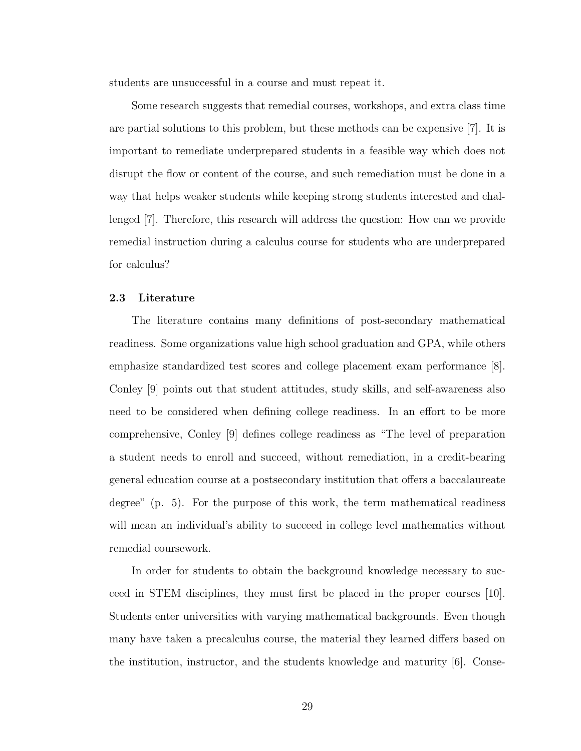students are unsuccessful in a course and must repeat it.

Some research suggests that remedial courses, workshops, and extra class time are partial solutions to this problem, but these methods can be expensive [\[7\]](#page-56-2). It is important to remediate underprepared students in a feasible way which does not disrupt the flow or content of the course, and such remediation must be done in a way that helps weaker students while keeping strong students interested and challenged [\[7\]](#page-56-2). Therefore, this research will address the question: How can we provide remedial instruction during a calculus course for students who are underprepared for calculus?

### 2.3 Literature

The literature contains many definitions of post-secondary mathematical readiness. Some organizations value high school graduation and GPA, while others emphasize standardized test scores and college placement exam performance [\[8\]](#page-56-3). Conley [\[9\]](#page-56-4) points out that student attitudes, study skills, and self-awareness also need to be considered when defining college readiness. In an effort to be more comprehensive, Conley [\[9\]](#page-56-4) defines college readiness as "The level of preparation a student needs to enroll and succeed, without remediation, in a credit-bearing general education course at a postsecondary institution that offers a baccalaureate degree" (p. 5). For the purpose of this work, the term mathematical readiness will mean an individual's ability to succeed in college level mathematics without remedial coursework.

In order for students to obtain the background knowledge necessary to succeed in STEM disciplines, they must first be placed in the proper courses [\[10\]](#page-56-5). Students enter universities with varying mathematical backgrounds. Even though many have taken a precalculus course, the material they learned differs based on the institution, instructor, and the students knowledge and maturity [\[6\]](#page-56-1). Conse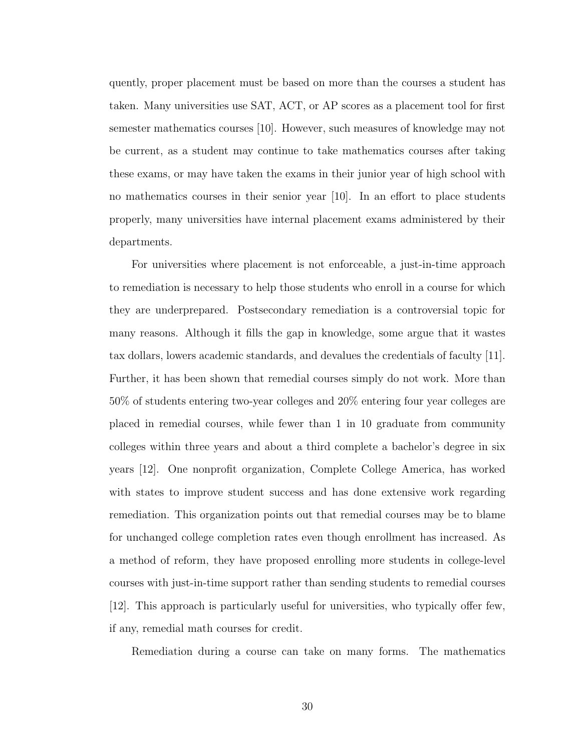quently, proper placement must be based on more than the courses a student has taken. Many universities use SAT, ACT, or AP scores as a placement tool for first semester mathematics courses [\[10\]](#page-56-5). However, such measures of knowledge may not be current, as a student may continue to take mathematics courses after taking these exams, or may have taken the exams in their junior year of high school with no mathematics courses in their senior year [\[10\]](#page-56-5). In an effort to place students properly, many universities have internal placement exams administered by their departments.

For universities where placement is not enforceable, a just-in-time approach to remediation is necessary to help those students who enroll in a course for which they are underprepared. Postsecondary remediation is a controversial topic for many reasons. Although it fills the gap in knowledge, some argue that it wastes tax dollars, lowers academic standards, and devalues the credentials of faculty [\[11\]](#page-56-6). Further, it has been shown that remedial courses simply do not work. More than 50% of students entering two-year colleges and 20% entering four year colleges are placed in remedial courses, while fewer than 1 in 10 graduate from community colleges within three years and about a third complete a bachelor's degree in six years [\[12\]](#page-56-7). One nonprofit organization, Complete College America, has worked with states to improve student success and has done extensive work regarding remediation. This organization points out that remedial courses may be to blame for unchanged college completion rates even though enrollment has increased. As a method of reform, they have proposed enrolling more students in college-level courses with just-in-time support rather than sending students to remedial courses [\[12\]](#page-56-7). This approach is particularly useful for universities, who typically offer few, if any, remedial math courses for credit.

Remediation during a course can take on many forms. The mathematics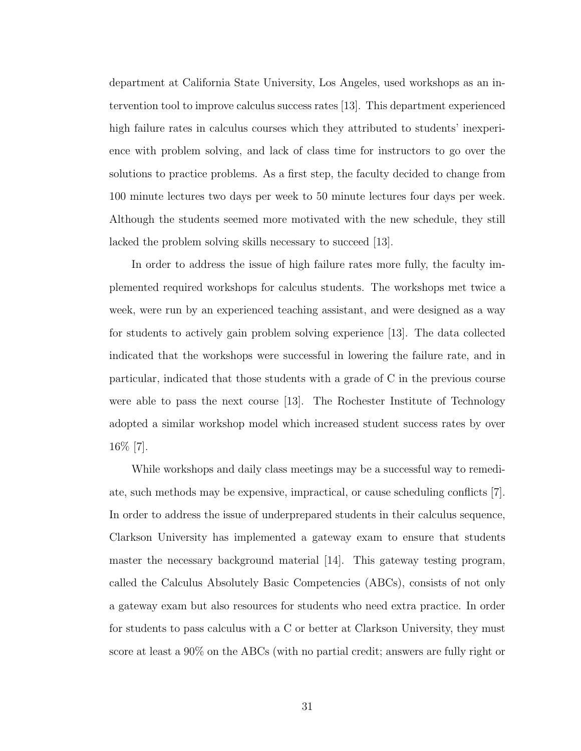department at California State University, Los Angeles, used workshops as an intervention tool to improve calculus success rates [\[13\]](#page-56-8). This department experienced high failure rates in calculus courses which they attributed to students' inexperience with problem solving, and lack of class time for instructors to go over the solutions to practice problems. As a first step, the faculty decided to change from 100 minute lectures two days per week to 50 minute lectures four days per week. Although the students seemed more motivated with the new schedule, they still lacked the problem solving skills necessary to succeed [\[13\]](#page-56-8).

In order to address the issue of high failure rates more fully, the faculty implemented required workshops for calculus students. The workshops met twice a week, were run by an experienced teaching assistant, and were designed as a way for students to actively gain problem solving experience [\[13\]](#page-56-8). The data collected indicated that the workshops were successful in lowering the failure rate, and in particular, indicated that those students with a grade of C in the previous course were able to pass the next course [\[13\]](#page-56-8). The Rochester Institute of Technology adopted a similar workshop model which increased student success rates by over 16% [\[7\]](#page-56-2).

While workshops and daily class meetings may be a successful way to remediate, such methods may be expensive, impractical, or cause scheduling conflicts [\[7\]](#page-56-2). In order to address the issue of underprepared students in their calculus sequence, Clarkson University has implemented a gateway exam to ensure that students master the necessary background material [\[14\]](#page-56-9). This gateway testing program, called the Calculus Absolutely Basic Competencies (ABCs), consists of not only a gateway exam but also resources for students who need extra practice. In order for students to pass calculus with a C or better at Clarkson University, they must score at least a 90% on the ABCs (with no partial credit; answers are fully right or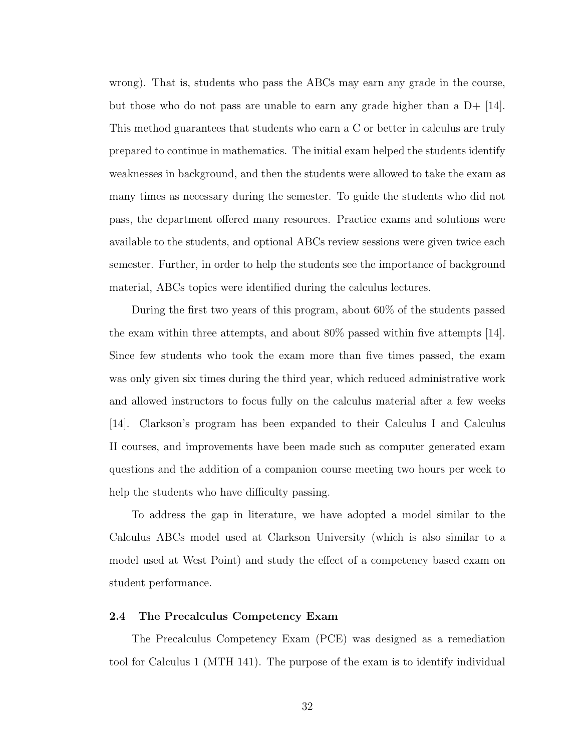wrong). That is, students who pass the ABCs may earn any grade in the course, but those who do not pass are unable to earn any grade higher than a  $D+$  [\[14\]](#page-56-9). This method guarantees that students who earn a C or better in calculus are truly prepared to continue in mathematics. The initial exam helped the students identify weaknesses in background, and then the students were allowed to take the exam as many times as necessary during the semester. To guide the students who did not pass, the department offered many resources. Practice exams and solutions were available to the students, and optional ABCs review sessions were given twice each semester. Further, in order to help the students see the importance of background material, ABCs topics were identified during the calculus lectures.

During the first two years of this program, about 60% of the students passed the exam within three attempts, and about 80% passed within five attempts [\[14\]](#page-56-9). Since few students who took the exam more than five times passed, the exam was only given six times during the third year, which reduced administrative work and allowed instructors to focus fully on the calculus material after a few weeks [\[14\]](#page-56-9). Clarkson's program has been expanded to their Calculus I and Calculus II courses, and improvements have been made such as computer generated exam questions and the addition of a companion course meeting two hours per week to help the students who have difficulty passing.

To address the gap in literature, we have adopted a model similar to the Calculus ABCs model used at Clarkson University (which is also similar to a model used at West Point) and study the effect of a competency based exam on student performance.

## 2.4 The Precalculus Competency Exam

The Precalculus Competency Exam (PCE) was designed as a remediation tool for Calculus 1 (MTH 141). The purpose of the exam is to identify individual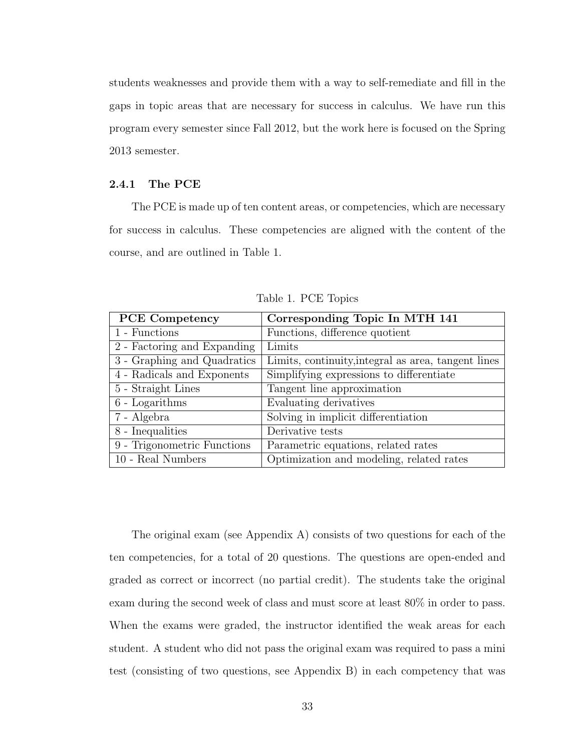students weaknesses and provide them with a way to self-remediate and fill in the gaps in topic areas that are necessary for success in calculus. We have run this program every semester since Fall 2012, but the work here is focused on the Spring 2013 semester.

## 2.4.1 The PCE

The PCE is made up of ten content areas, or competencies, which are necessary for success in calculus. These competencies are aligned with the content of the course, and are outlined in Table 1.

| <b>PCE</b> Competency       | Corresponding Topic In MTH 141                      |
|-----------------------------|-----------------------------------------------------|
| 1 - Functions               | Functions, difference quotient                      |
| 2 - Factoring and Expanding | Limits                                              |
| 3 - Graphing and Quadratics | Limits, continuity, integral as area, tangent lines |
| 4 - Radicals and Exponents  | Simplifying expressions to differentiate            |
| 5 - Straight Lines          | Tangent line approximation                          |
| $6$ - Logarithms            | Evaluating derivatives                              |
| 7 - Algebra                 | Solving in implicit differentiation                 |
| 8 - Inequalities            | Derivative tests                                    |
| 9 - Trigonometric Functions | Parametric equations, related rates                 |
| 10 - Real Numbers           | Optimization and modeling, related rates            |

Table 1. PCE Topics

The original exam (see Appendix A) consists of two questions for each of the ten competencies, for a total of 20 questions. The questions are open-ended and graded as correct or incorrect (no partial credit). The students take the original exam during the second week of class and must score at least 80% in order to pass. When the exams were graded, the instructor identified the weak areas for each student. A student who did not pass the original exam was required to pass a mini test (consisting of two questions, see Appendix B) in each competency that was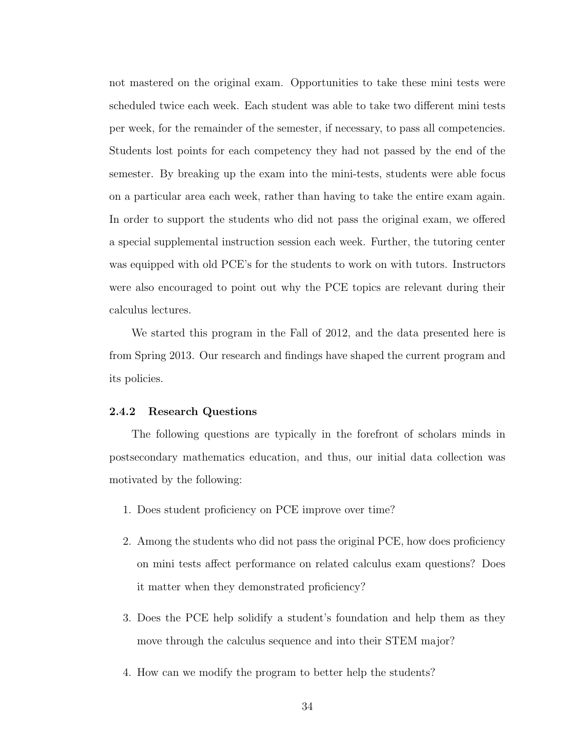not mastered on the original exam. Opportunities to take these mini tests were scheduled twice each week. Each student was able to take two different mini tests per week, for the remainder of the semester, if necessary, to pass all competencies. Students lost points for each competency they had not passed by the end of the semester. By breaking up the exam into the mini-tests, students were able focus on a particular area each week, rather than having to take the entire exam again. In order to support the students who did not pass the original exam, we offered a special supplemental instruction session each week. Further, the tutoring center was equipped with old PCE's for the students to work on with tutors. Instructors were also encouraged to point out why the PCE topics are relevant during their calculus lectures.

We started this program in the Fall of 2012, and the data presented here is from Spring 2013. Our research and findings have shaped the current program and its policies.

## 2.4.2 Research Questions

The following questions are typically in the forefront of scholars minds in postsecondary mathematics education, and thus, our initial data collection was motivated by the following:

- 1. Does student proficiency on PCE improve over time?
- 2. Among the students who did not pass the original PCE, how does proficiency on mini tests affect performance on related calculus exam questions? Does it matter when they demonstrated proficiency?
- 3. Does the PCE help solidify a student's foundation and help them as they move through the calculus sequence and into their STEM major?
- 4. How can we modify the program to better help the students?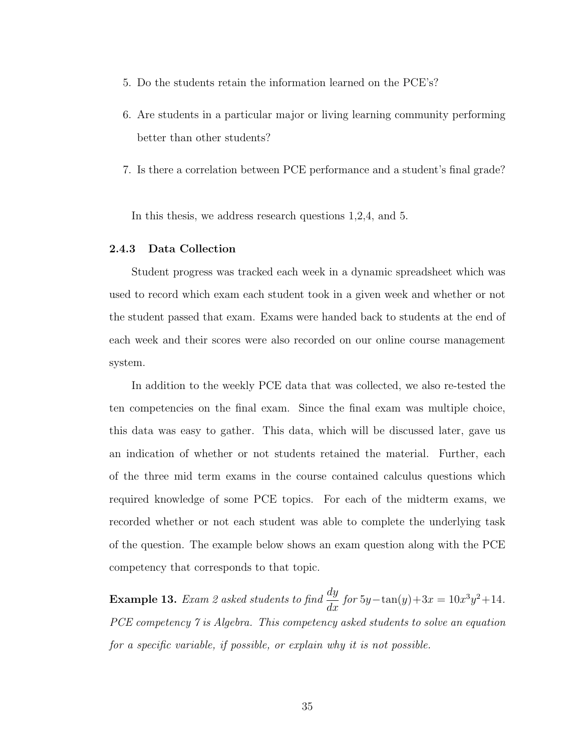- 5. Do the students retain the information learned on the PCE's?
- 6. Are students in a particular major or living learning community performing better than other students?
- 7. Is there a correlation between PCE performance and a student's final grade?

In this thesis, we address research questions 1,2,4, and 5.

## 2.4.3 Data Collection

Student progress was tracked each week in a dynamic spreadsheet which was used to record which exam each student took in a given week and whether or not the student passed that exam. Exams were handed back to students at the end of each week and their scores were also recorded on our online course management system.

In addition to the weekly PCE data that was collected, we also re-tested the ten competencies on the final exam. Since the final exam was multiple choice, this data was easy to gather. This data, which will be discussed later, gave us an indication of whether or not students retained the material. Further, each of the three mid term exams in the course contained calculus questions which required knowledge of some PCE topics. For each of the midterm exams, we recorded whether or not each student was able to complete the underlying task of the question. The example below shows an exam question along with the PCE competency that corresponds to that topic.

**Example 13.** Exam 2 asked students to find  $\frac{dy}{dx}$  for  $5y-\tan(y)+3x=10x^3y^2+14$ . PCE competency 7 is Algebra. This competency asked students to solve an equation for a specific variable, if possible, or explain why it is not possible.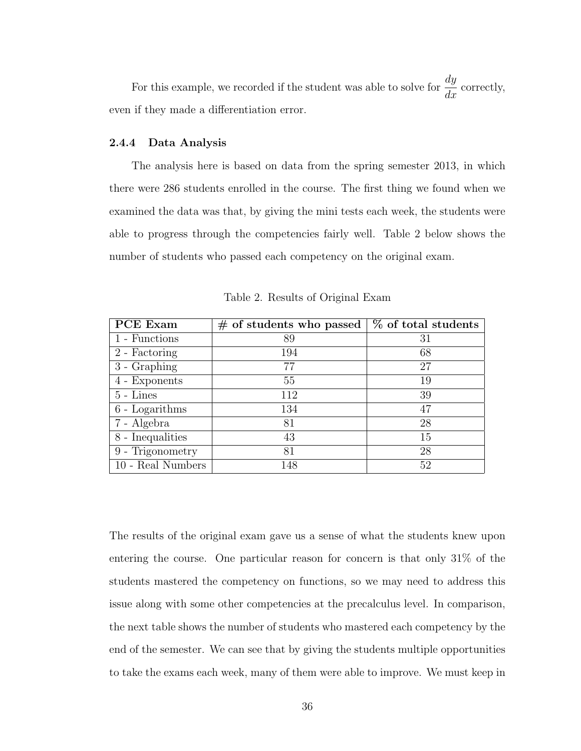For this example, we recorded if the student was able to solve for  $\frac{dy}{dx}$  $\frac{dy}{dx}$  correctly, even if they made a differentiation error.

## 2.4.4 Data Analysis

The analysis here is based on data from the spring semester 2013, in which there were 286 students enrolled in the course. The first thing we found when we examined the data was that, by giving the mini tests each week, the students were able to progress through the competencies fairly well. Table 2 below shows the number of students who passed each competency on the original exam.

| <b>PCE</b> Exam   | $#$ of students who passed | % of total students |
|-------------------|----------------------------|---------------------|
| 1 - Functions     | 89                         | 31                  |
| 2 - Factoring     | 194                        | 68                  |
| 3 - Graphing      | 77                         | 27                  |
| 4 - Exponents     | 55                         | 19                  |
| $5 - Lines$       | 112                        | 39                  |
| $6$ - Logarithms  | 134                        | 47                  |
| 7 - Algebra       | 81                         | 28                  |
| 8 - Inequalities  | 43                         | 15                  |
| 9 - Trigonometry  | 81                         | 28                  |
| 10 - Real Numbers | 148                        | 52                  |

Table 2. Results of Original Exam

The results of the original exam gave us a sense of what the students knew upon entering the course. One particular reason for concern is that only 31% of the students mastered the competency on functions, so we may need to address this issue along with some other competencies at the precalculus level. In comparison, the next table shows the number of students who mastered each competency by the end of the semester. We can see that by giving the students multiple opportunities to take the exams each week, many of them were able to improve. We must keep in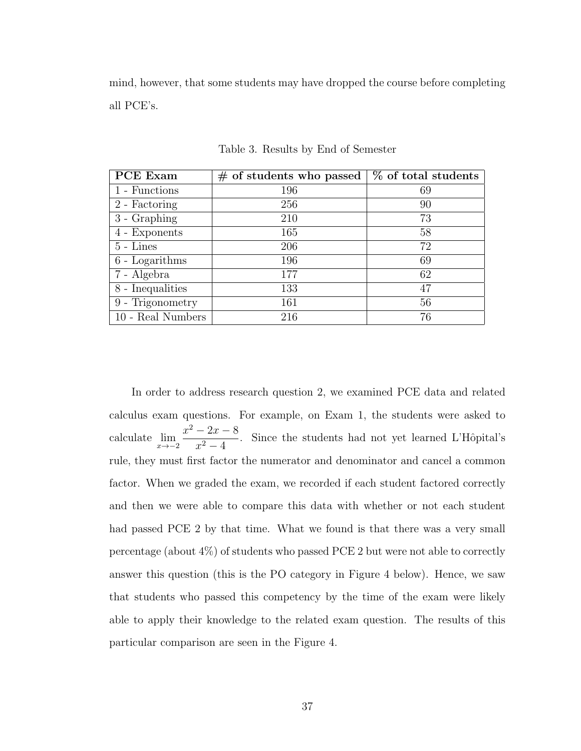mind, however, that some students may have dropped the course before completing all PCE's.

| <b>PCE</b> Exam     | $\#$ of students who passed | % of total students |
|---------------------|-----------------------------|---------------------|
| 1 - Functions       | 196                         | 69                  |
| 2 - Factoring       | 256                         | 90                  |
| 3 - Graphing        | 210                         | 73                  |
| 4 - Exponents       | 165                         | 58                  |
| $5 - Lines$         | 206                         | 72                  |
| $6$ - Logarithms    | 196                         | 69                  |
| 7 - Algebra         | 177                         | 62                  |
| 8 - Inequalities    | 133                         | 47                  |
| 9 - Trigonometry    | 161                         | 56                  |
| $10$ - Real Numbers | 216                         | 76                  |

Table 3. Results by End of Semester

In order to address research question 2, we examined PCE data and related calculus exam questions. For example, on Exam 1, the students were asked to calculate  $\lim_{x \to -2}$  $x^2 - 2x - 8$  $\frac{2x}{x^2-4}$ . Since the students had not yet learned L'Hôpital's rule, they must first factor the numerator and denominator and cancel a common factor. When we graded the exam, we recorded if each student factored correctly and then we were able to compare this data with whether or not each student had passed PCE 2 by that time. What we found is that there was a very small percentage (about 4%) of students who passed PCE 2 but were not able to correctly answer this question (this is the PO category in Figure 4 below). Hence, we saw that students who passed this competency by the time of the exam were likely able to apply their knowledge to the related exam question. The results of this particular comparison are seen in the Figure 4.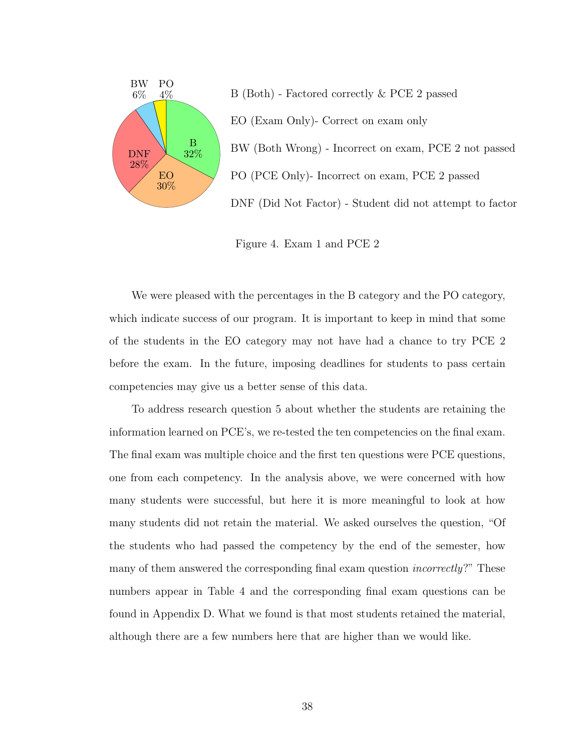

B (Both) - Factored correctly & PCE 2 passed EO (Exam Only)- Correct on exam only BW (Both Wrong) - Incorrect on exam, PCE 2 not passed PO (PCE Only)- Incorrect on exam, PCE 2 passed DNF (Did Not Factor) - Student did not attempt to factor

Figure 4. Exam 1 and PCE 2

We were pleased with the percentages in the B category and the PO category, which indicate success of our program. It is important to keep in mind that some of the students in the EO category may not have had a chance to try PCE 2 before the exam. In the future, imposing deadlines for students to pass certain competencies may give us a better sense of this data.

To address research question 5 about whether the students are retaining the information learned on PCE's, we re-tested the ten competencies on the final exam. The final exam was multiple choice and the first ten questions were PCE questions, one from each competency. In the analysis above, we were concerned with how many students were successful, but here it is more meaningful to look at how many students did not retain the material. We asked ourselves the question, "Of the students who had passed the competency by the end of the semester, how many of them answered the corresponding final exam question incorrectly?" These numbers appear in Table 4 and the corresponding final exam questions can be found in Appendix D. What we found is that most students retained the material, although there are a few numbers here that are higher than we would like.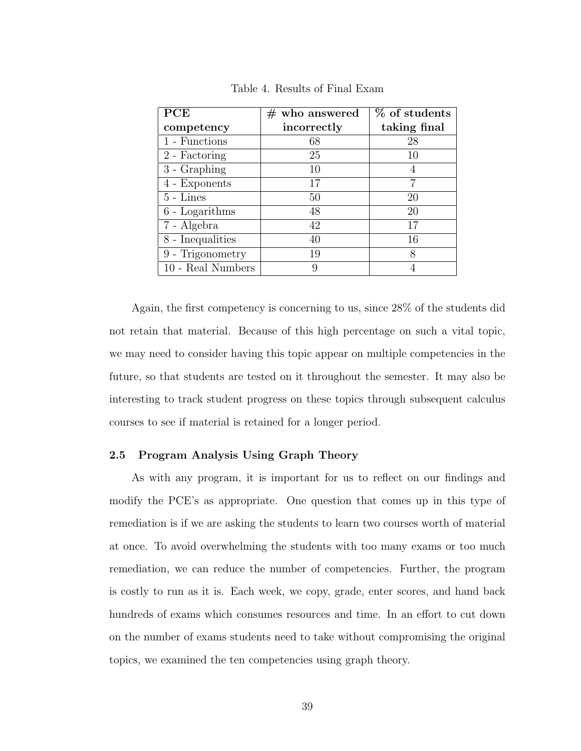| PCE               | $#$ who answered | % of students |
|-------------------|------------------|---------------|
| competency        | incorrectly      | taking final  |
| 1 - Functions     | 68               | 28            |
| 2 - Factoring     | 25               | 10            |
| $3 - Graphing$    | 10               | 4             |
| 4 - Exponents     | 17               |               |
| $5 - Lines$       | 50               | 20            |
| $6$ - Logarithms  | 48               | 20            |
| 7 - Algebra       | 42               | 17            |
| 8 - Inequalities  | 40               | 16            |
| 9 - Trigonometry  | 19               | 8             |
| 10 - Real Numbers | Q                |               |

Table 4. Results of Final Exam

Again, the first competency is concerning to us, since 28% of the students did not retain that material. Because of this high percentage on such a vital topic, we may need to consider having this topic appear on multiple competencies in the future, so that students are tested on it throughout the semester. It may also be interesting to track student progress on these topics through subsequent calculus courses to see if material is retained for a longer period.

## 2.5 Program Analysis Using Graph Theory

As with any program, it is important for us to reflect on our findings and modify the PCE's as appropriate. One question that comes up in this type of remediation is if we are asking the students to learn two courses worth of material at once. To avoid overwhelming the students with too many exams or too much remediation, we can reduce the number of competencies. Further, the program is costly to run as it is. Each week, we copy, grade, enter scores, and hand back hundreds of exams which consumes resources and time. In an effort to cut down on the number of exams students need to take without compromising the original topics, we examined the ten competencies using graph theory.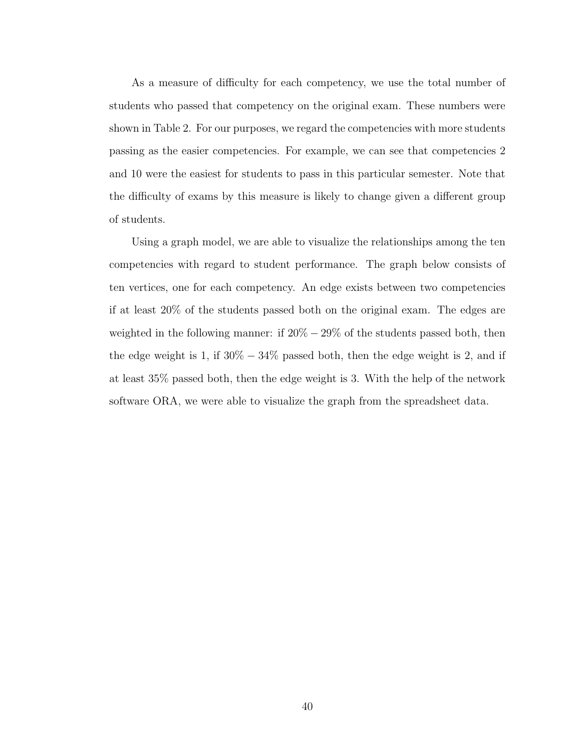As a measure of difficulty for each competency, we use the total number of students who passed that competency on the original exam. These numbers were shown in Table 2. For our purposes, we regard the competencies with more students passing as the easier competencies. For example, we can see that competencies 2 and 10 were the easiest for students to pass in this particular semester. Note that the difficulty of exams by this measure is likely to change given a different group of students.

Using a graph model, we are able to visualize the relationships among the ten competencies with regard to student performance. The graph below consists of ten vertices, one for each competency. An edge exists between two competencies if at least 20% of the students passed both on the original exam. The edges are weighted in the following manner: if  $20\% - 29\%$  of the students passed both, then the edge weight is 1, if  $30\% - 34\%$  passed both, then the edge weight is 2, and if at least 35% passed both, then the edge weight is 3. With the help of the network software ORA, we were able to visualize the graph from the spreadsheet data.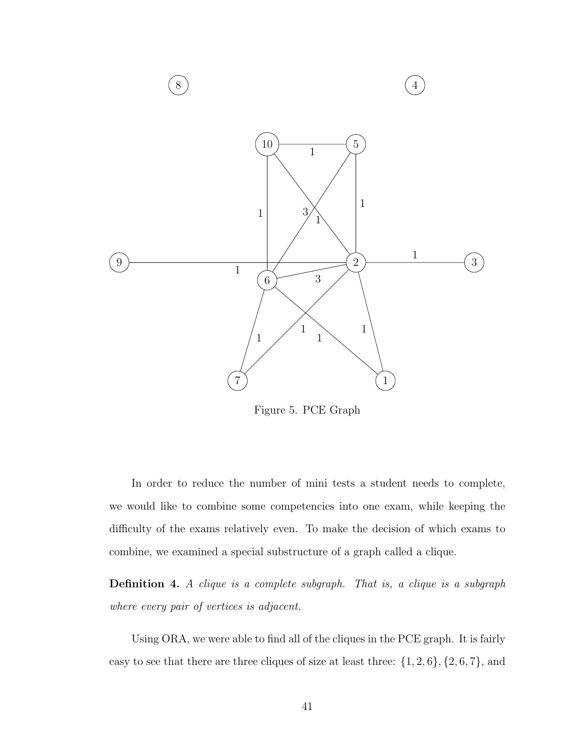

Figure 5. PCE Graph

In order to reduce the number of mini tests a student needs to complete, we would like to combine some competencies into one exam, while keeping the difficulty of the exams relatively even. To make the decision of which exams to combine, we examined a special substructure of a graph called a clique.

Definition 4. A clique is a complete subgraph. That is, a clique is a subgraph where every pair of vertices is adjacent.

Using ORA, we were able to find all of the cliques in the PCE graph. It is fairly easy to see that there are three cliques of size at least three:  $\{1, 2, 6\}$ ,  $\{2, 6, 7\}$ , and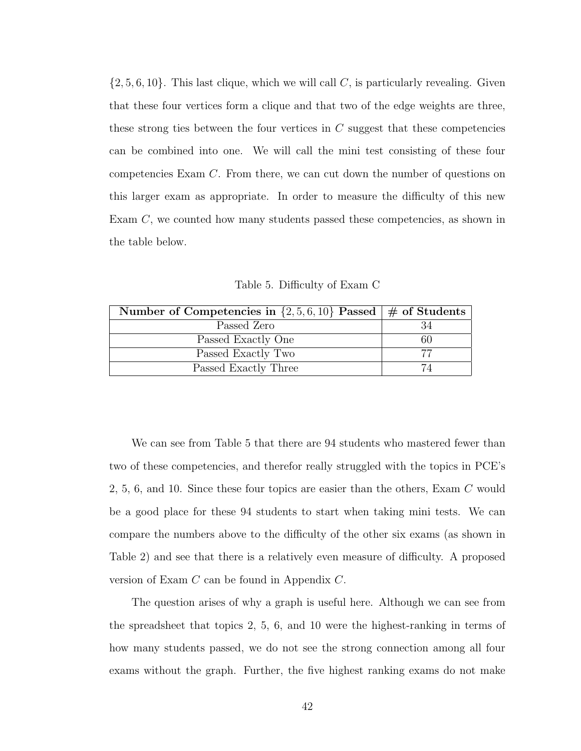$\{2, 5, 6, 10\}$ . This last clique, which we will call C, is particularly revealing. Given that these four vertices form a clique and that two of the edge weights are three, these strong ties between the four vertices in  $C$  suggest that these competencies can be combined into one. We will call the mini test consisting of these four competencies Exam C. From there, we can cut down the number of questions on this larger exam as appropriate. In order to measure the difficulty of this new Exam C, we counted how many students passed these competencies, as shown in the table below.

Table 5. Difficulty of Exam C

| Number of Competencies in $\{2,5,6,10\}$ Passed $\#$ of Students |    |
|------------------------------------------------------------------|----|
| Passed Zero                                                      |    |
| Passed Exactly One                                               | 60 |
| Passed Exactly Two                                               |    |
| Passed Exactly Three                                             | 74 |

We can see from Table 5 that there are 94 students who mastered fewer than two of these competencies, and therefor really struggled with the topics in PCE's 2, 5, 6, and 10. Since these four topics are easier than the others, Exam C would be a good place for these 94 students to start when taking mini tests. We can compare the numbers above to the difficulty of the other six exams (as shown in Table 2) and see that there is a relatively even measure of difficulty. A proposed version of Exam C can be found in Appendix C.

The question arises of why a graph is useful here. Although we can see from the spreadsheet that topics 2, 5, 6, and 10 were the highest-ranking in terms of how many students passed, we do not see the strong connection among all four exams without the graph. Further, the five highest ranking exams do not make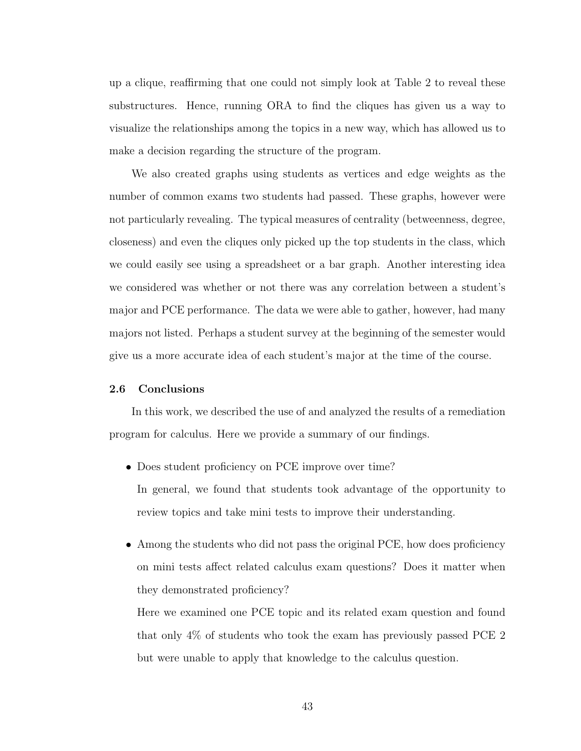up a clique, reaffirming that one could not simply look at Table 2 to reveal these substructures. Hence, running ORA to find the cliques has given us a way to visualize the relationships among the topics in a new way, which has allowed us to make a decision regarding the structure of the program.

We also created graphs using students as vertices and edge weights as the number of common exams two students had passed. These graphs, however were not particularly revealing. The typical measures of centrality (betweenness, degree, closeness) and even the cliques only picked up the top students in the class, which we could easily see using a spreadsheet or a bar graph. Another interesting idea we considered was whether or not there was any correlation between a student's major and PCE performance. The data we were able to gather, however, had many majors not listed. Perhaps a student survey at the beginning of the semester would give us a more accurate idea of each student's major at the time of the course.

#### 2.6 Conclusions

In this work, we described the use of and analyzed the results of a remediation program for calculus. Here we provide a summary of our findings.

- Does student proficiency on PCE improve over time? In general, we found that students took advantage of the opportunity to review topics and take mini tests to improve their understanding.
- Among the students who did not pass the original PCE, how does proficiency on mini tests affect related calculus exam questions? Does it matter when they demonstrated proficiency?

Here we examined one PCE topic and its related exam question and found that only 4% of students who took the exam has previously passed PCE 2 but were unable to apply that knowledge to the calculus question.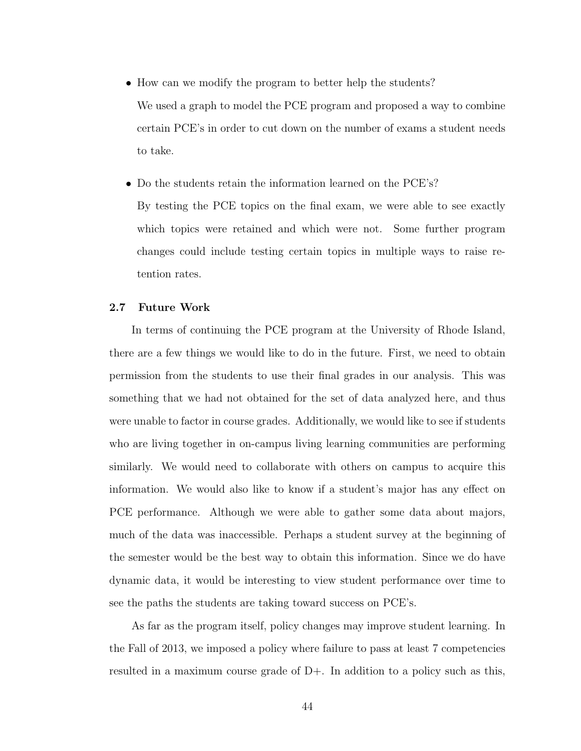- How can we modify the program to better help the students? We used a graph to model the PCE program and proposed a way to combine certain PCE's in order to cut down on the number of exams a student needs to take.
- Do the students retain the information learned on the PCE's? By testing the PCE topics on the final exam, we were able to see exactly which topics were retained and which were not. Some further program changes could include testing certain topics in multiple ways to raise retention rates.

## 2.7 Future Work

In terms of continuing the PCE program at the University of Rhode Island, there are a few things we would like to do in the future. First, we need to obtain permission from the students to use their final grades in our analysis. This was something that we had not obtained for the set of data analyzed here, and thus were unable to factor in course grades. Additionally, we would like to see if students who are living together in on-campus living learning communities are performing similarly. We would need to collaborate with others on campus to acquire this information. We would also like to know if a student's major has any effect on PCE performance. Although we were able to gather some data about majors, much of the data was inaccessible. Perhaps a student survey at the beginning of the semester would be the best way to obtain this information. Since we do have dynamic data, it would be interesting to view student performance over time to see the paths the students are taking toward success on PCE's.

As far as the program itself, policy changes may improve student learning. In the Fall of 2013, we imposed a policy where failure to pass at least 7 competencies resulted in a maximum course grade of D+. In addition to a policy such as this,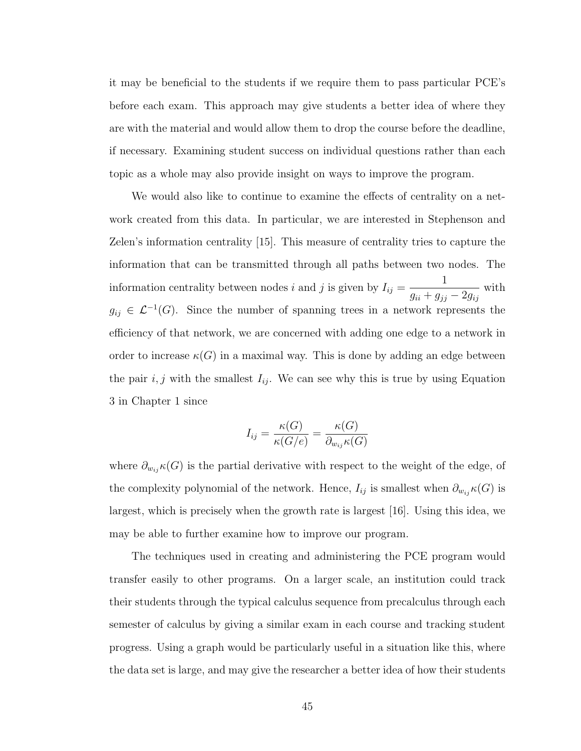it may be beneficial to the students if we require them to pass particular PCE's before each exam. This approach may give students a better idea of where they are with the material and would allow them to drop the course before the deadline, if necessary. Examining student success on individual questions rather than each topic as a whole may also provide insight on ways to improve the program.

We would also like to continue to examine the effects of centrality on a network created from this data. In particular, we are interested in Stephenson and Zelen's information centrality [\[15\]](#page-56-10). This measure of centrality tries to capture the information that can be transmitted through all paths between two nodes. The information centrality between nodes i and j is given by  $I_{ij} =$ 1  $g_{ii} + g_{jj} - 2g_{ij}$ with  $g_{ij} \in \mathcal{L}^{-1}(G)$ . Since the number of spanning trees in a network represents the efficiency of that network, we are concerned with adding one edge to a network in order to increase  $\kappa(G)$  in a maximal way. This is done by adding an edge between the pair  $i, j$  with the smallest  $I_{ij}$ . We can see why this is true by using Equation [3](#page-15-0) in Chapter 1 since

$$
I_{ij} = \frac{\kappa(G)}{\kappa(G/e)} = \frac{\kappa(G)}{\partial_{w_{ij}} \kappa(G)}
$$

where  $\partial_{w_{ij}} \kappa(G)$  is the partial derivative with respect to the weight of the edge, of the complexity polynomial of the network. Hence,  $I_{ij}$  is smallest when  $\partial_{w_{ij}}\kappa(G)$  is largest, which is precisely when the growth rate is largest [\[16\]](#page-56-11). Using this idea, we may be able to further examine how to improve our program.

The techniques used in creating and administering the PCE program would transfer easily to other programs. On a larger scale, an institution could track their students through the typical calculus sequence from precalculus through each semester of calculus by giving a similar exam in each course and tracking student progress. Using a graph would be particularly useful in a situation like this, where the data set is large, and may give the researcher a better idea of how their students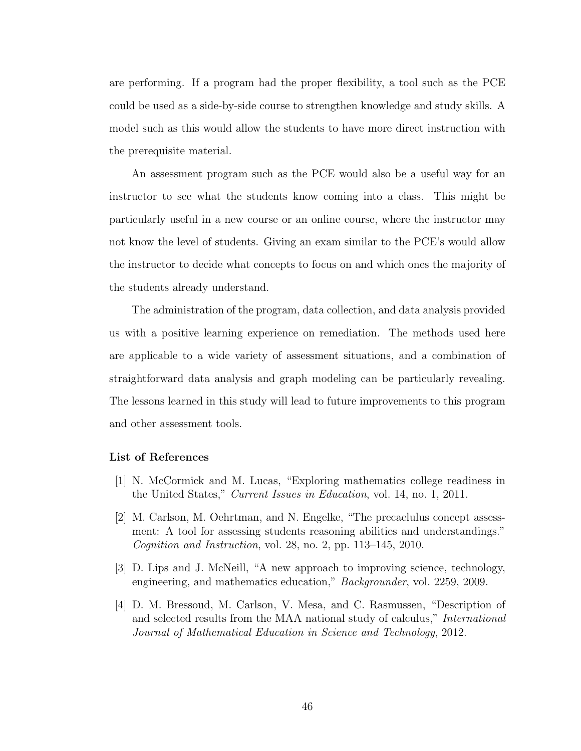are performing. If a program had the proper flexibility, a tool such as the PCE could be used as a side-by-side course to strengthen knowledge and study skills. A model such as this would allow the students to have more direct instruction with the prerequisite material.

An assessment program such as the PCE would also be a useful way for an instructor to see what the students know coming into a class. This might be particularly useful in a new course or an online course, where the instructor may not know the level of students. Giving an exam similar to the PCE's would allow the instructor to decide what concepts to focus on and which ones the majority of the students already understand.

The administration of the program, data collection, and data analysis provided us with a positive learning experience on remediation. The methods used here are applicable to a wide variety of assessment situations, and a combination of straightforward data analysis and graph modeling can be particularly revealing. The lessons learned in this study will lead to future improvements to this program and other assessment tools.

#### List of References

- <span id="page-55-0"></span>[1] N. McCormick and M. Lucas, "Exploring mathematics college readiness in the United States," Current Issues in Education, vol. 14, no. 1, 2011.
- <span id="page-55-1"></span>[2] M. Carlson, M. Oehrtman, and N. Engelke, "The precaclulus concept assessment: A tool for assessing students reasoning abilities and understandings." Cognition and Instruction, vol. 28, no. 2, pp.  $113-145$ ,  $2010$ .
- <span id="page-55-2"></span>[3] D. Lips and J. McNeill, "A new approach to improving science, technology, engineering, and mathematics education," Backgrounder, vol. 2259, 2009.
- <span id="page-55-3"></span>[4] D. M. Bressoud, M. Carlson, V. Mesa, and C. Rasmussen, "Description of and selected results from the MAA national study of calculus," International Journal of Mathematical Education in Science and Technology, 2012.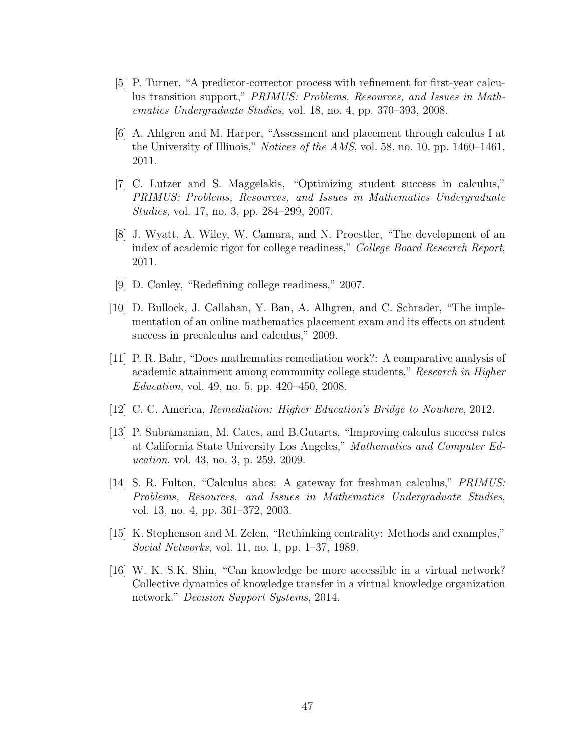- <span id="page-56-0"></span>[5] P. Turner, "A predictor-corrector process with refinement for first-year calculus transition support," PRIMUS: Problems, Resources, and Issues in Mathematics Undergraduate Studies, vol. 18, no. 4, pp. 370–393, 2008.
- <span id="page-56-1"></span>[6] A. Ahlgren and M. Harper, "Assessment and placement through calculus I at the University of Illinois," Notices of the AMS, vol. 58, no. 10, pp. 1460–1461, 2011.
- <span id="page-56-2"></span>[7] C. Lutzer and S. Maggelakis, "Optimizing student success in calculus," PRIMUS: Problems, Resources, and Issues in Mathematics Undergraduate Studies, vol. 17, no. 3, pp. 284–299, 2007.
- <span id="page-56-3"></span>[8] J. Wyatt, A. Wiley, W. Camara, and N. Proestler, "The development of an index of academic rigor for college readiness," College Board Research Report, 2011.
- <span id="page-56-4"></span>[9] D. Conley, "Redefining college readiness," 2007.
- <span id="page-56-5"></span>[10] D. Bullock, J. Callahan, Y. Ban, A. Alhgren, and C. Schrader, "The implementation of an online mathematics placement exam and its effects on student success in precalculus and calculus," 2009.
- <span id="page-56-6"></span>[11] P. R. Bahr, "Does mathematics remediation work?: A comparative analysis of academic attainment among community college students," Research in Higher Education, vol. 49, no. 5, pp. 420–450, 2008.
- <span id="page-56-7"></span>[12] C. C. America, Remediation: Higher Education's Bridge to Nowhere, 2012.
- <span id="page-56-8"></span>[13] P. Subramanian, M. Cates, and B.Gutarts, "Improving calculus success rates at California State University Los Angeles," Mathematics and Computer Education, vol. 43, no. 3, p. 259, 2009.
- <span id="page-56-9"></span>[14] S. R. Fulton, "Calculus abcs: A gateway for freshman calculus," PRIMUS: Problems, Resources, and Issues in Mathematics Undergraduate Studies, vol. 13, no. 4, pp. 361–372, 2003.
- <span id="page-56-10"></span>[15] K. Stephenson and M. Zelen, "Rethinking centrality: Methods and examples," Social Networks, vol. 11, no. 1, pp. 1–37, 1989.
- <span id="page-56-11"></span>[16] W. K. S.K. Shin, "Can knowledge be more accessible in a virtual network? Collective dynamics of knowledge transfer in a virtual knowledge organization network." Decision Support Systems, 2014.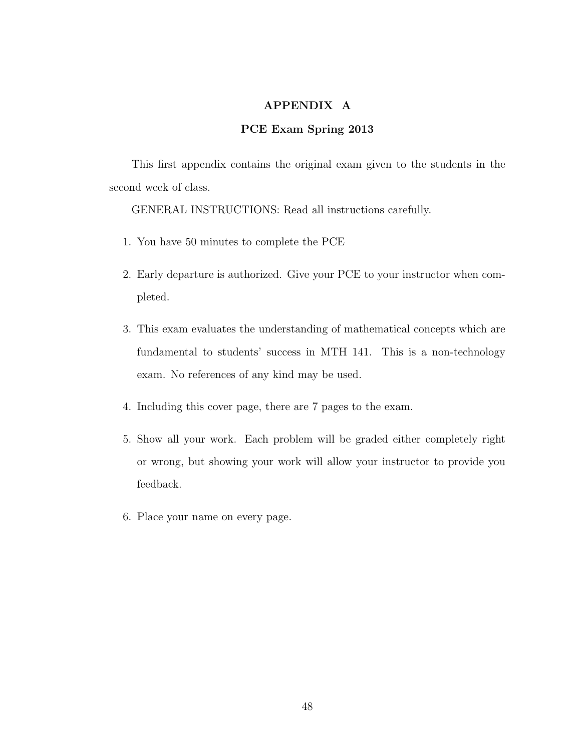# APPENDIX A

# PCE Exam Spring 2013

This first appendix contains the original exam given to the students in the second week of class.

GENERAL INSTRUCTIONS: Read all instructions carefully.

- 1. You have 50 minutes to complete the PCE
- 2. Early departure is authorized. Give your PCE to your instructor when completed.
- 3. This exam evaluates the understanding of mathematical concepts which are fundamental to students' success in MTH 141. This is a non-technology exam. No references of any kind may be used.
- 4. Including this cover page, there are 7 pages to the exam.
- 5. Show all your work. Each problem will be graded either completely right or wrong, but showing your work will allow your instructor to provide you feedback.
- 6. Place your name on every page.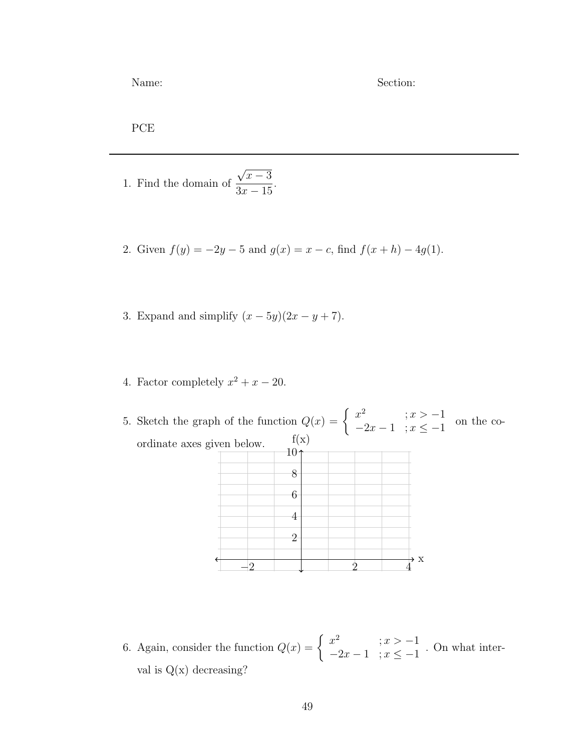Name: Section:

PCE

- 1. Find the domain of √  $\overline{x-3}$  $3x - 15$
- 2. Given  $f(y) = -2y 5$  and  $g(x) = x c$ , find  $f(x+h) 4g(1)$ .

.

- 3. Expand and simplify  $(x 5y)(2x y + 7)$ .
- 4. Factor completely  $x^2 + x 20$ .
- 5. Sketch the graph of the function  $Q(x) = \begin{cases} x^2 & ; x > -1 \\ 0 & ; x > -1 \end{cases}$  $\begin{array}{c} x^2 -2x - 1 \\ -2x - 1 \end{array}$ ;  $x \leq -1$  on the coordinate axes given below.  $\overrightarrow{4}$ <sup>x</sup>  $f(x)$  $-2$   $1$   $2$   $4$ 2 4 6 8 10
- 6. Again, consider the function  $Q(x) = \begin{cases} x^2 & ; x > -1 \\ 2x & ; x > -1 \end{cases}$  $\begin{array}{c} \n\therefore \ -2x - 1 \quad ; x \leq -1 \n\end{array}$ . On what interval is  $Q(x)$  decreasing?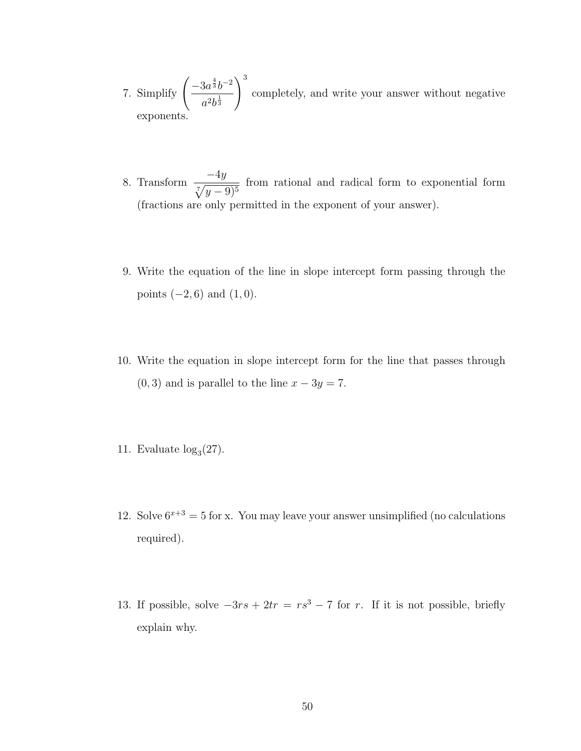- 7. Simplify  $\left( \frac{-3a^{\frac{4}{3}}b^{-2}}{a^{1/3}} \right)$  $a^2b^{\frac{1}{3}}$  $\setminus^3$ completely, and write your answer without negative exponents.
- 8. Transform  $\frac{-4y}{\sqrt{2}}$  $\sqrt[7]{y-9)^5}$ from rational and radical form to exponential form (fractions are only permitted in the exponent of your answer).
- 9. Write the equation of the line in slope intercept form passing through the points  $(-2, 6)$  and  $(1, 0)$ .
- 10. Write the equation in slope intercept form for the line that passes through  $(0, 3)$  and is parallel to the line  $x - 3y = 7$ .
- 11. Evaluate  $log<sub>3</sub>(27)$ .
- 12. Solve  $6^{x+3} = 5$  for x. You may leave your answer unsimplified (no calculations required).
- 13. If possible, solve  $-3rs + 2tr = rs^3 7$  for r. If it is not possible, briefly explain why.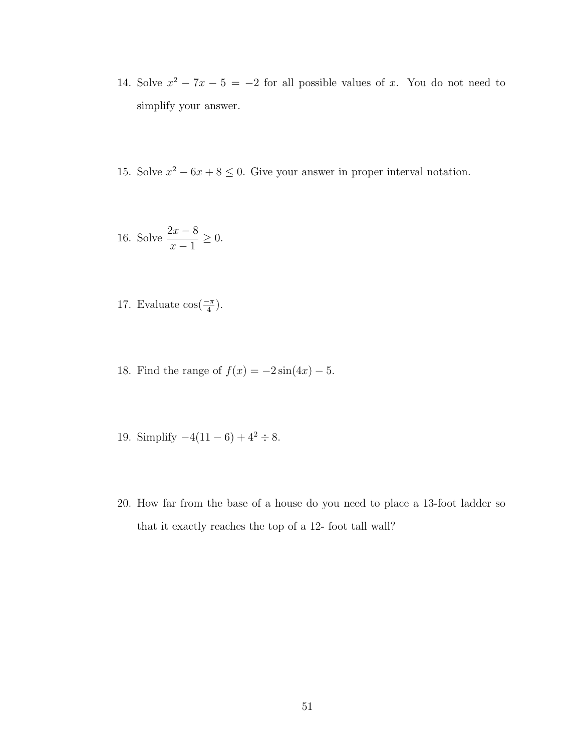- 14. Solve  $x^2 7x 5 = -2$  for all possible values of x. You do not need to simplify your answer.
- 15. Solve  $x^2 6x + 8 \le 0$ . Give your answer in proper interval notation.

16. Solve 
$$
\frac{2x-8}{x-1} \ge 0
$$
.

- 17. Evaluate  $\cos(\frac{-\pi}{4})$ .
- 18. Find the range of  $f(x) = -2\sin(4x) 5$ .
- 19. Simplify  $-4(11-6) + 4^2 \div 8$ .
- 20. How far from the base of a house do you need to place a 13-foot ladder so that it exactly reaches the top of a 12- foot tall wall?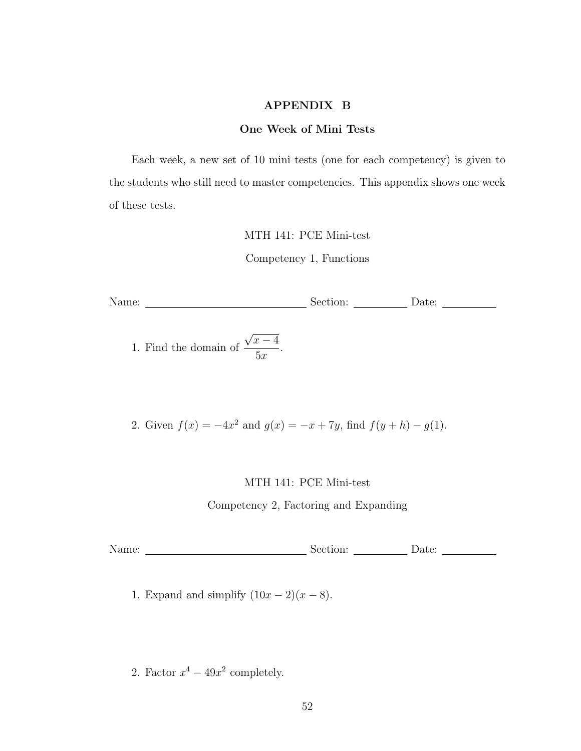# APPENDIX B

## One Week of Mini Tests

Each week, a new set of 10 mini tests (one for each competency) is given to the students who still need to master competencies. This appendix shows one week of these tests.

MTH 141: PCE Mini-test

Competency 1, Functions

Name: Section: Date: Date: Date:

1. Find the domain of √  $\overline{x-4}$  $5x$ .

2. Given  $f(x) = -4x^2$  and  $g(x) = -x + 7y$ , find  $f(y+h) - g(1)$ .

MTH 141: PCE Mini-test

Competency 2, Factoring and Expanding

Name: Section: Date:

1. Expand and simplify  $(10x - 2)(x - 8)$ .

2. Factor  $x^4 - 49x^2$  completely.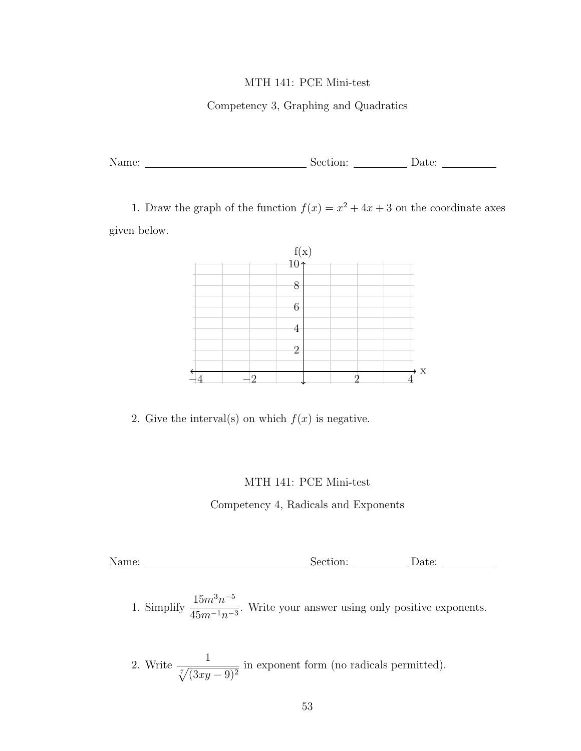# Competency 3, Graphing and Quadratics

| $N_{\rm A}$<br>$\ldots$ | $  -$ |  |
|-------------------------|-------|--|
|                         |       |  |

1. Draw the graph of the function  $f(x) = x^2 + 4x + 3$  on the coordinate axes given below.



2. Give the interval(s) on which  $f(x)$  is negative.

# MTH 141: PCE Mini-test

Competency 4, Radicals and Exponents

Name: Section: Date: Date: Date: Date: Date: Date: Name: Date: Date: Name: Date: Name: Date: Name: Rection: Date: Name: Rection: Date: Name: Rection: Name: Rection: Name: Rection: Name: Rection: Name: Rection: Name: Rectio

1. Simplify  $\frac{15m^3n^{-5}}{45}$  $\frac{15m^2}{45m^{-1}n^{-3}}$ . Write your answer using only positive exponents.

2. Write 
$$
\frac{1}{\sqrt[7]{(3xy-9)^2}}
$$
 in exponent form (no radicals permitted).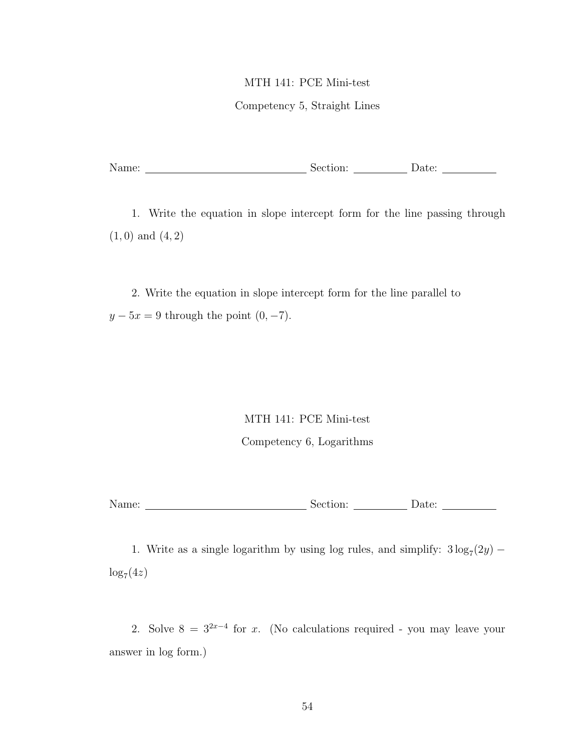# Competency 5, Straight Lines

|  | Name: | bection: | Jate |  |
|--|-------|----------|------|--|
|--|-------|----------|------|--|

1. Write the equation in slope intercept form for the line passing through  $(1, 0)$  and  $(4, 2)$ 

2. Write the equation in slope intercept form for the line parallel to  $y - 5x = 9$  through the point  $(0, -7)$ .

## MTH 141: PCE Mini-test

# Competency 6, Logarithms

| Name: | $-2-1$<br>∴ ≀⊖۰<br>:uon: |  |
|-------|--------------------------|--|
|       |                          |  |

1. Write as a single logarithm by using log rules, and simplify:  $3\log_7(2y)$  –  $\log_7(4z)$ 

2. Solve  $8 = 3^{2x-4}$  for x. (No calculations required - you may leave your answer in log form.)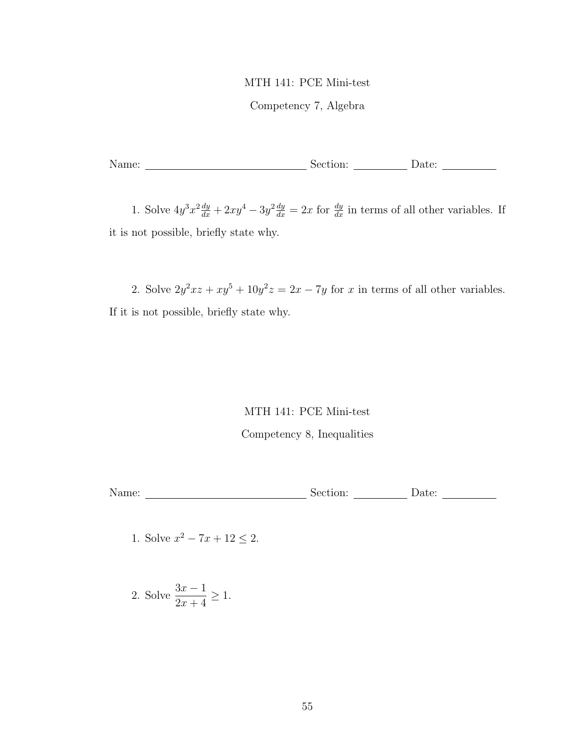# Competency 7, Algebra

Name: Section: Date: Date: Date:

1. Solve  $4y^3x^2\frac{dy}{dx} + 2xy^4 - 3y^2\frac{dy}{dx} = 2x$  for  $\frac{dy}{dx}$  in terms of all other variables. If it is not possible, briefly state why.

2. Solve  $2y^2xz + xy^5 + 10y^2z = 2x - 7y$  for x in terms of all other variables. If it is not possible, briefly state why.

# MTH 141: PCE Mini-test Competency 8, Inequalities

Name: Section: Date: Date: Date: Date: Date: Date: Name: Date: Date: Name: Name: Name: Name: Name: Name: Name: Name: Name: Name: Name: Name: Name: Name: Name: Name: Name: Name: Name: Name: Name: Name: Name: Name: Name: Nam

1. Solve  $x^2 - 7x + 12 \le 2$ .

2. Solve 
$$
\frac{3x-1}{2x+4} \ge 1
$$
.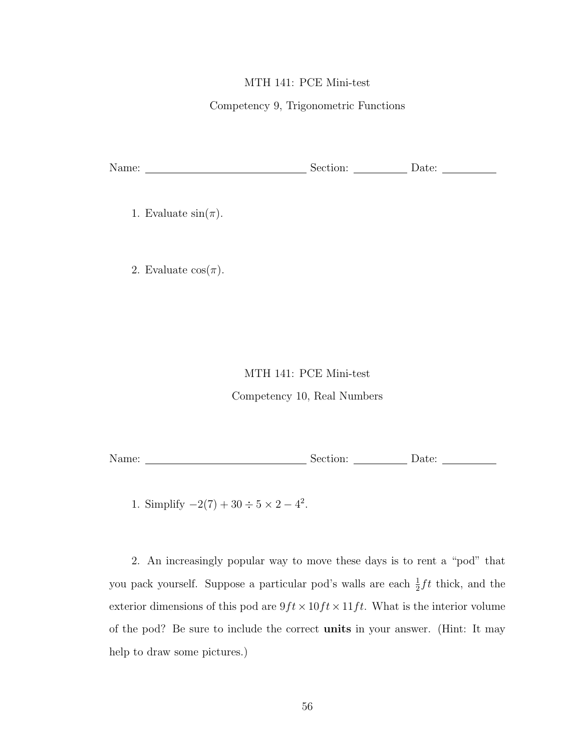# Competency 9, Trigonometric Functions

| Name: | tıon: | . |  |
|-------|-------|---|--|
|       |       |   |  |

1. Evaluate  $sin(\pi)$ .

2. Evaluate  $\cos(\pi)$ .

# MTH 141: PCE Mini-test

Competency 10, Real Numbers

| Name: | $\cap n$ .<br>01011. | Date. |  |
|-------|----------------------|-------|--|
|       |                      |       |  |

1. Simplify  $-2(7) + 30 \div 5 \times 2 - 4^2$ .

2. An increasingly popular way to move these days is to rent a "pod" that you pack yourself. Suppose a particular pod's walls are each  $\frac{1}{2} f t$  thick, and the exterior dimensions of this pod are  $9ft \times 10ft \times 11ft$ . What is the interior volume of the pod? Be sure to include the correct units in your answer. (Hint: It may help to draw some pictures.)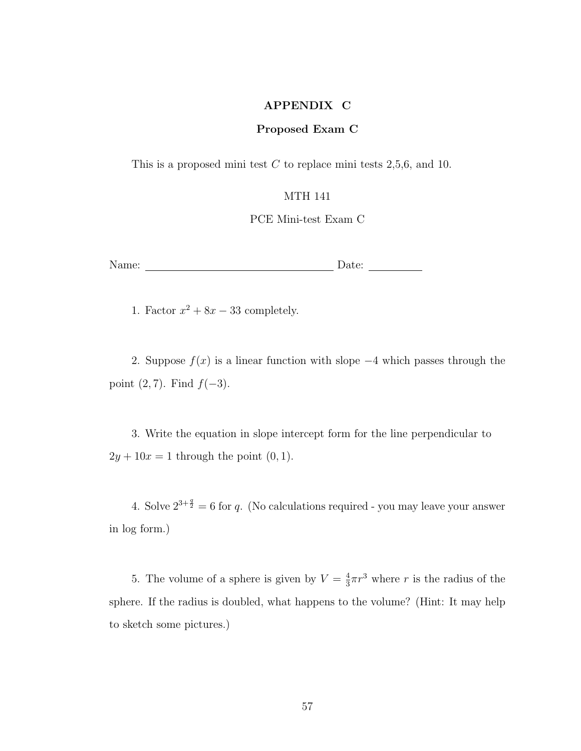# APPENDIX C

## Proposed Exam C

This is a proposed mini test  $C$  to replace mini tests 2,5,6, and 10.

## MTH 141

PCE Mini-test Exam C

Name: Date: Date:

1. Factor  $x^2 + 8x - 33$  completely.

2. Suppose  $f(x)$  is a linear function with slope  $-4$  which passes through the point  $(2, 7)$ . Find  $f(-3)$ .

3. Write the equation in slope intercept form for the line perpendicular to  $2y + 10x = 1$  through the point  $(0, 1)$ .

4. Solve  $2^{3+\frac{q}{2}} = 6$  for q. (No calculations required - you may leave your answer in log form.)

5. The volume of a sphere is given by  $V=\frac{4}{3}$  $\frac{4}{3}\pi r^3$  where r is the radius of the sphere. If the radius is doubled, what happens to the volume? (Hint: It may help to sketch some pictures.)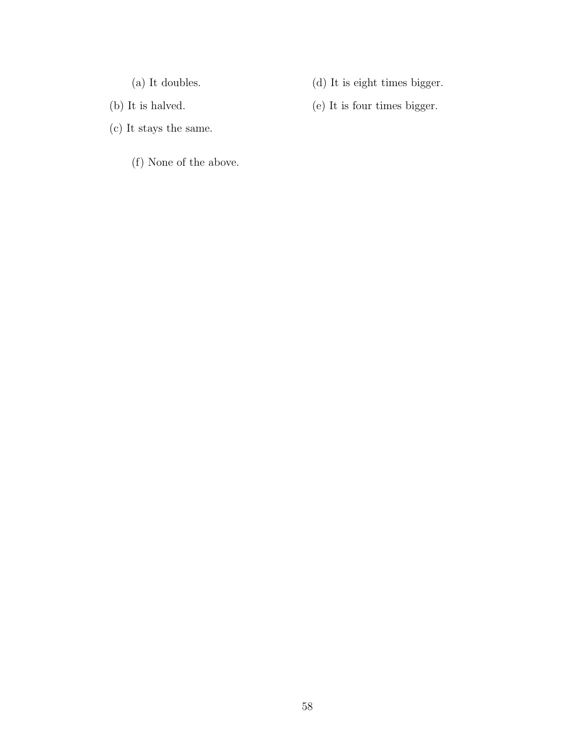(a) It doubles.

(d) It is eight times bigger.

- (b) It is halved.
- (c) It stays the same.
	- (f) None of the above.

(e) It is four times bigger.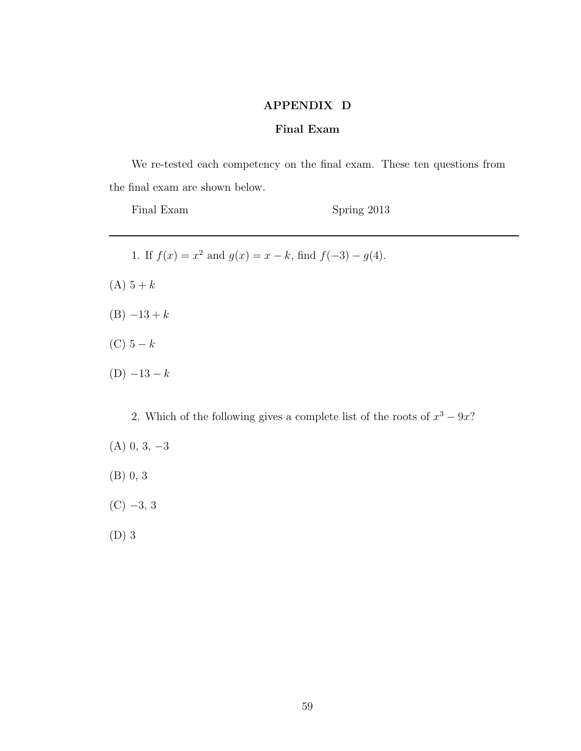# APPENDIX D

# Final Exam

We re-tested each competency on the final exam. These ten questions from the final exam are shown below.

Final Exam Spring 2013

1. If  $f(x) = x^2$  and  $g(x) = x - k$ , find  $f(-3) - g(4)$ .  $(A) 5 + k$  $(B) -13 + k$ (C)  $5-k$  $(D) -13 - k$ 

2. Which of the following gives a complete list of the roots of  $x^3 - 9x$ ?  $(A)$  0, 3,  $-3$ 

(B) 0, 3

 $(C)$  -3, 3

(D) 3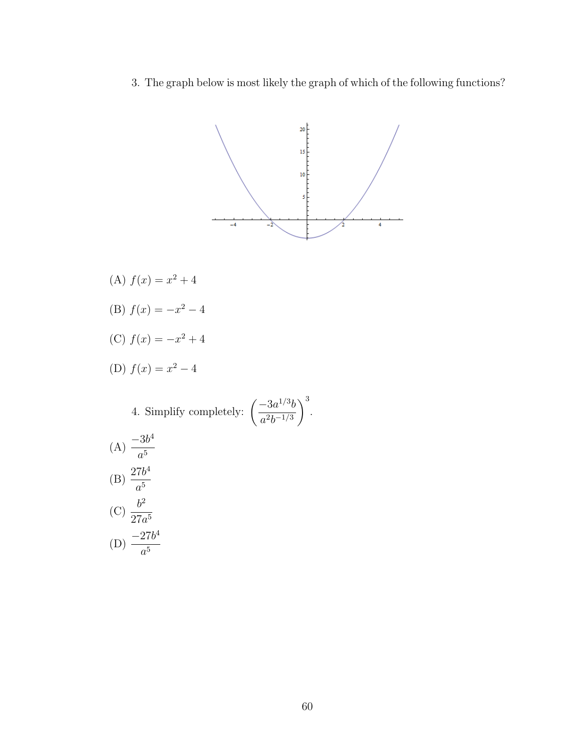3. The graph below is most likely the graph of which of the following functions?



 $\setminus^3$ .

- (A)  $f(x) = x^2 + 4$
- (B)  $f(x) = -x^2 4$
- (C)  $f(x) = -x^2 + 4$
- (D)  $f(x) = x^2 4$

4. Simplify completely:  $\left(\frac{-3a^{1/3}b}{a^{1/3}b}\right)$  $a^2b^{-1/3}$ 

(A) 
$$
\frac{-3b^4}{a^5}
$$
  
\n(B)  $\frac{27b^4}{a^5}$   
\n(C)  $\frac{b^2}{27a^5}$   
\n(D)  $\frac{-27b^4}{a^5}$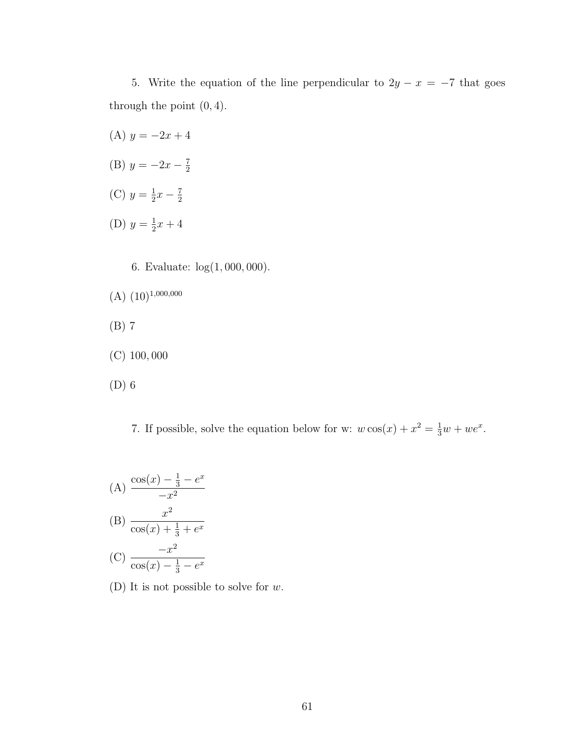5. Write the equation of the line perpendicular to  $2y - x = -7$  that goes through the point  $(0, 4)$ .

- (A)  $y = -2x + 4$ (B)  $y = -2x - \frac{7}{2}$ 2 (C)  $y = \frac{1}{2}$  $rac{1}{2}x - \frac{7}{2}$ 2 (D)  $y = \frac{1}{2}$  $rac{1}{2}x + 4$ 
	- 6. Evaluate: log(1, 000, 000).
- $(A)$   $(10)^{1,000,000}$
- (B) 7
- (C) 100, 000
- (D) 6

7. If possible, solve the equation below for w:  $w \cos(x) + x^2 = \frac{1}{3}w + we^x$ .

(A) 
$$
\frac{\cos(x) - \frac{1}{3} - e^x}{-x^2}
$$
  
\n(B) 
$$
\frac{x^2}{\cos(x) + \frac{1}{3} + e^x}
$$
  
\n(C) 
$$
\frac{-x^2}{\cos(x) - \frac{1}{3} - e^x}
$$

(D) It is not possible to solve for  $w$ .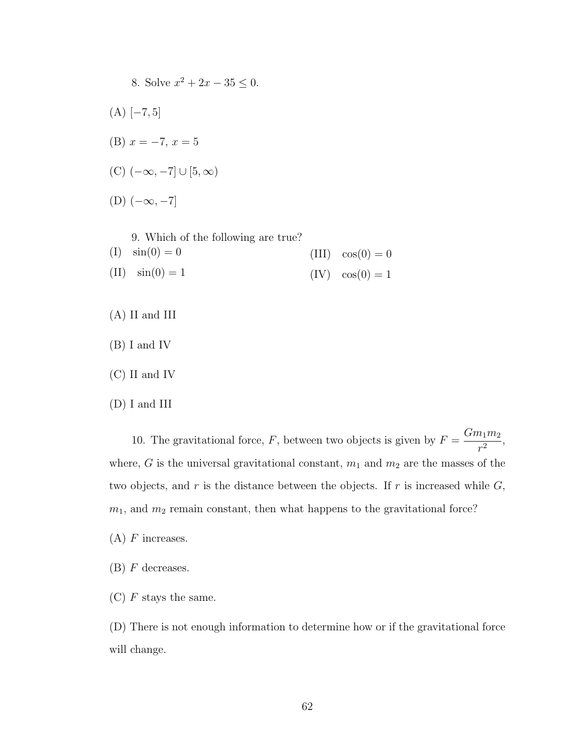8. Solve  $x^2 + 2x - 35 \leq 0$ .  $(A)$  [−7, 5] (B)  $x = -7, x = 5$ (C)  $(-\infty, -7] \cup [5, \infty)$  $(D)$   $(-\infty, -7]$ 

9. Which of the following are true?

- $(I) \sin(0) = 0$  $(II) \sin(0) = 1$  $(III) \cos(0) = 0$  $(IV) \cos(0) = 1$
- (A) II and III
- (B) I and IV
- (C) II and IV
- (D) I and III

10. The gravitational force, F, between two objects is given by  $F = \frac{Gm_1m_2}{2}$  $\frac{r_1 r_2}{r^2},$ where, G is the universal gravitational constant,  $m_1$  and  $m_2$  are the masses of the two objects, and  $r$  is the distance between the objects. If  $r$  is increased while  $G$ ,  $m_1$ , and  $m_2$  remain constant, then what happens to the gravitational force?

- $(A)$  F increases.
- $(B)$  F decreases.
- $(C)$  F stays the same.

(D) There is not enough information to determine how or if the gravitational force will change.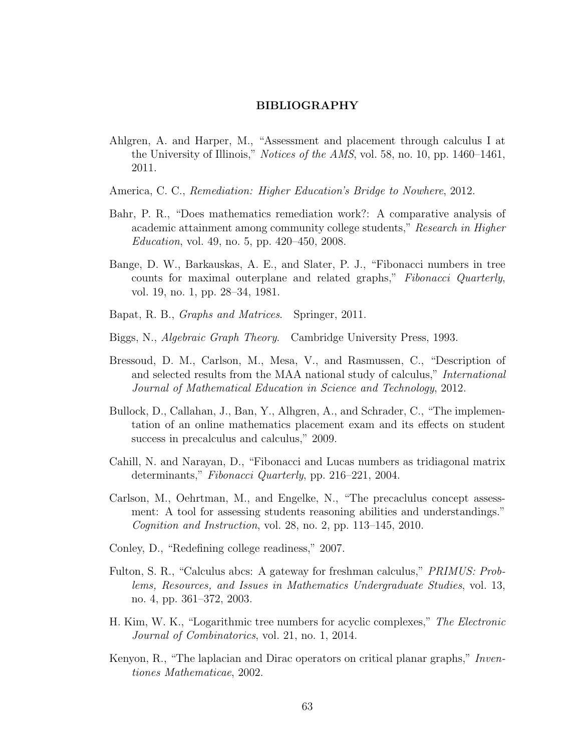## BIBLIOGRAPHY

- Ahlgren, A. and Harper, M., "Assessment and placement through calculus I at the University of Illinois," *Notices of the AMS*, vol. 58, no. 10, pp. 1460–1461, 2011.
- America, C. C., Remediation: Higher Education's Bridge to Nowhere, 2012.
- Bahr, P. R., "Does mathematics remediation work?: A comparative analysis of academic attainment among community college students," Research in Higher Education, vol. 49, no. 5, pp. 420–450, 2008.
- Bange, D. W., Barkauskas, A. E., and Slater, P. J., "Fibonacci numbers in tree counts for maximal outerplane and related graphs," Fibonacci Quarterly, vol. 19, no. 1, pp. 28–34, 1981.
- Bapat, R. B., Graphs and Matrices. Springer, 2011.
- Biggs, N., Algebraic Graph Theory. Cambridge University Press, 1993.
- Bressoud, D. M., Carlson, M., Mesa, V., and Rasmussen, C., "Description of and selected results from the MAA national study of calculus," International Journal of Mathematical Education in Science and Technology, 2012.
- Bullock, D., Callahan, J., Ban, Y., Alhgren, A., and Schrader, C., "The implementation of an online mathematics placement exam and its effects on student success in precalculus and calculus," 2009.
- Cahill, N. and Narayan, D., "Fibonacci and Lucas numbers as tridiagonal matrix determinants," Fibonacci Quarterly, pp. 216–221, 2004.
- Carlson, M., Oehrtman, M., and Engelke, N., "The precaclulus concept assessment: A tool for assessing students reasoning abilities and understandings." Cognition and Instruction, vol. 28, no. 2, pp. 113–145, 2010.
- Conley, D., "Redefining college readiness," 2007.
- Fulton, S. R., "Calculus abcs: A gateway for freshman calculus," PRIMUS: Problems, Resources, and Issues in Mathematics Undergraduate Studies, vol. 13, no. 4, pp. 361–372, 2003.
- H. Kim, W. K., "Logarithmic tree numbers for acyclic complexes," The Electronic Journal of Combinatorics, vol. 21, no. 1, 2014.
- Kenyon, R., "The laplacian and Dirac operators on critical planar graphs," Inventiones Mathematicae, 2002.